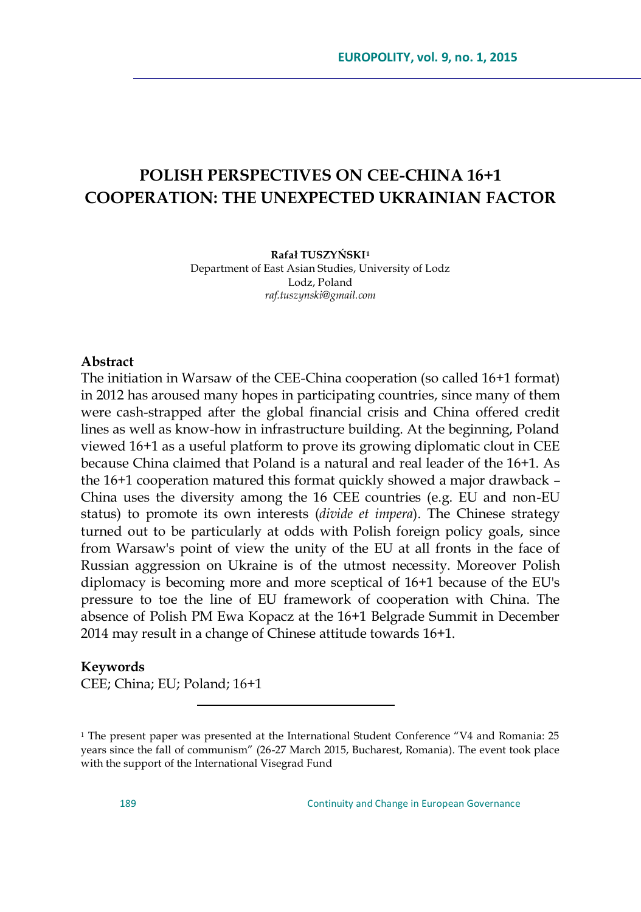# **POLISH PERSPECTIVES ON CEE-CHINA 16+1 COOPERATION: THE UNEXPECTED UKRAINIAN FACTOR**

**Rafał TUSZYŃSKI<sup>1</sup>** Department of East Asian Studies, University of Lodz Lodz, Poland *raf.tuszynski@gmail.com*

#### **Abstract**

The initiation in Warsaw of the CEE-China cooperation (so called 16+1 format) in 2012 has aroused many hopes in participating countries, since many of them were cash-strapped after the global financial crisis and China offered credit lines as well as know-how in infrastructure building. At the beginning, Poland viewed 16+1 as a useful platform to prove its growing diplomatic clout in CEE because China claimed that Poland is a natural and real leader of the 16+1. As the 16+1 cooperation matured this format quickly showed a major drawback – China uses the diversity among the 16 CEE countries (e.g. EU and non-EU status) to promote its own interests (*divide et impera*). The Chinese strategy turned out to be particularly at odds with Polish foreign policy goals, since from Warsaw's point of view the unity of the EU at all fronts in the face of Russian aggression on Ukraine is of the utmost necessity. Moreover Polish diplomacy is becoming more and more sceptical of 16+1 because of the EU's pressure to toe the line of EU framework of cooperation with China. The absence of Polish PM Ewa Kopacz at the 16+1 Belgrade Summit in December 2014 may result in a change of Chinese attitude towards 16+1.

#### **Keywords**

CEE; China; EU; Poland; 16+1

 $\overline{a}$ 

 $1$  The present paper was presented at the International Student Conference  $4V4$  and Romania: 25 years since the fall of communism" (26-27 March 2015, Bucharest, Romania). The event took place with the support of the International Visegrad Fund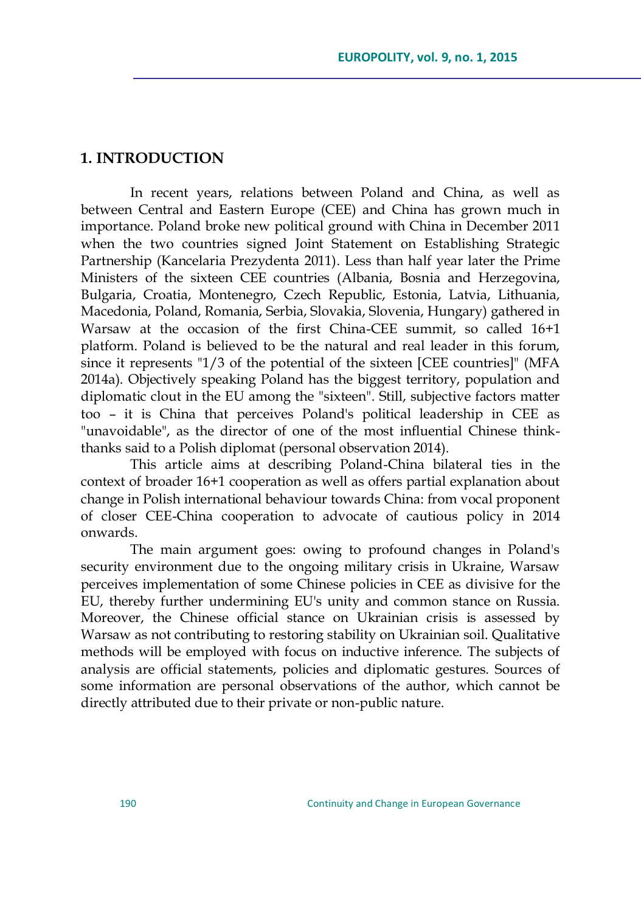### **1. INTRODUCTION**

In recent years, relations between Poland and China, as well as between Central and Eastern Europe (CEE) and China has grown much in importance. Poland broke new political ground with China in December 2011 when the two countries signed Joint Statement on Establishing Strategic Partnership (Kancelaria Prezydenta 2011). Less than half year later the Prime Ministers of the sixteen CEE countries (Albania, Bosnia and Herzegovina, Bulgaria, Croatia, Montenegro, Czech Republic, Estonia, Latvia, Lithuania, Macedonia, Poland, Romania, Serbia, Slovakia, Slovenia, Hungary) gathered in Warsaw at the occasion of the first China-CEE summit, so called 16+1 platform. Poland is believed to be the natural and real leader in this forum, since it represents "1/3 of the potential of the sixteen [CEE countries]" (MFA 2014a). Objectively speaking Poland has the biggest territory, population and diplomatic clout in the EU among the "sixteen". Still, subjective factors matter too – it is China that perceives Poland's political leadership in CEE as "unavoidable", as the director of one of the most influential Chinese thinkthanks said to a Polish diplomat (personal observation 2014).

This article aims at describing Poland-China bilateral ties in the context of broader 16+1 cooperation as well as offers partial explanation about change in Polish international behaviour towards China: from vocal proponent of closer CEE-China cooperation to advocate of cautious policy in 2014 onwards.

The main argument goes: owing to profound changes in Poland's security environment due to the ongoing military crisis in Ukraine, Warsaw perceives implementation of some Chinese policies in CEE as divisive for the EU, thereby further undermining EU's unity and common stance on Russia. Moreover, the Chinese official stance on Ukrainian crisis is assessed by Warsaw as not contributing to restoring stability on Ukrainian soil. Qualitative methods will be employed with focus on inductive inference. The subjects of analysis are official statements, policies and diplomatic gestures. Sources of some information are personal observations of the author, which cannot be directly attributed due to their private or non-public nature.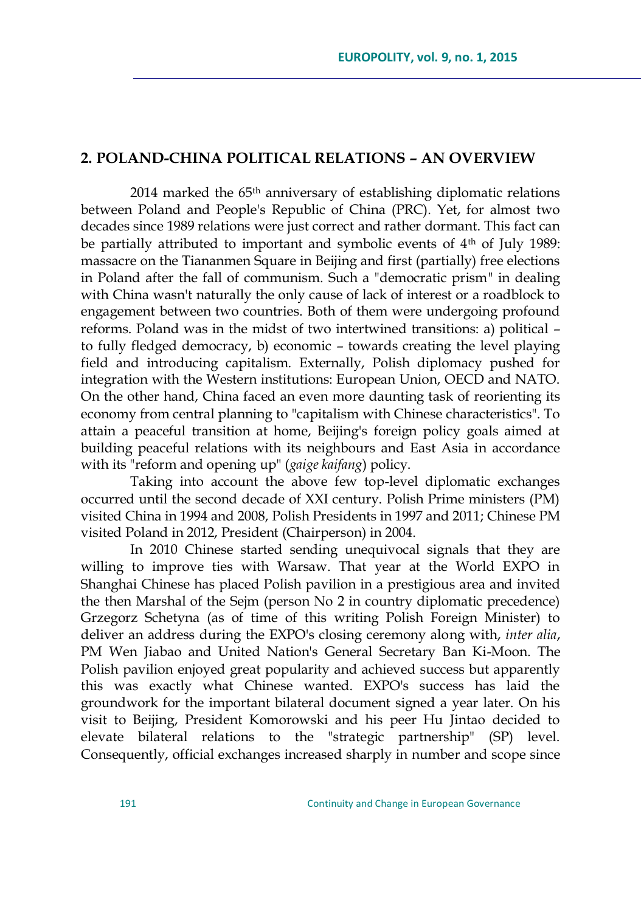### **2. POLAND-CHINA POLITICAL RELATIONS – AN OVERVIEW**

2014 marked the 65th anniversary of establishing diplomatic relations between Poland and People's Republic of China (PRC). Yet, for almost two decades since 1989 relations were just correct and rather dormant. This fact can be partially attributed to important and symbolic events of 4<sup>th</sup> of July 1989: massacre on the Tiananmen Square in Beijing and first (partially) free elections in Poland after the fall of communism. Such a "democratic prism" in dealing with China wasn't naturally the only cause of lack of interest or a roadblock to engagement between two countries. Both of them were undergoing profound reforms. Poland was in the midst of two intertwined transitions: a) political – to fully fledged democracy, b) economic – towards creating the level playing field and introducing capitalism. Externally, Polish diplomacy pushed for integration with the Western institutions: European Union, OECD and NATO. On the other hand, China faced an even more daunting task of reorienting its economy from central planning to "capitalism with Chinese characteristics". To attain a peaceful transition at home, Beijing's foreign policy goals aimed at building peaceful relations with its neighbours and East Asia in accordance with its "reform and opening up" (*gaige kaifang*) policy.

Taking into account the above few top-level diplomatic exchanges occurred until the second decade of XXI century. Polish Prime ministers (PM) visited China in 1994 and 2008, Polish Presidents in 1997 and 2011; Chinese PM visited Poland in 2012, President (Chairperson) in 2004.

In 2010 Chinese started sending unequivocal signals that they are willing to improve ties with Warsaw. That year at the World EXPO in Shanghai Chinese has placed Polish pavilion in a prestigious area and invited the then Marshal of the Sejm (person No 2 in country diplomatic precedence) Grzegorz Schetyna (as of time of this writing Polish Foreign Minister) to deliver an address during the EXPO's closing ceremony along with, *inter alia*, PM Wen Jiabao and United Nation's General Secretary Ban Ki-Moon. The Polish pavilion enjoyed great popularity and achieved success but apparently this was exactly what Chinese wanted. EXPO's success has laid the groundwork for the important bilateral document signed a year later. On his visit to Beijing, President Komorowski and his peer Hu Jintao decided to elevate bilateral relations to the "strategic partnership" (SP) level. Consequently, official exchanges increased sharply in number and scope since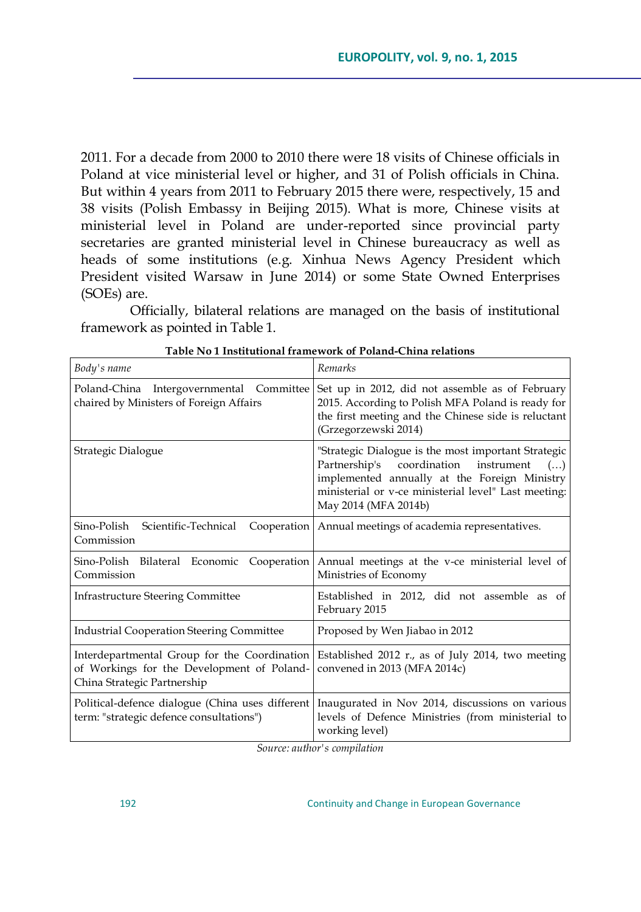2011. For a decade from 2000 to 2010 there were 18 visits of Chinese officials in Poland at vice ministerial level or higher, and 31 of Polish officials in China. But within 4 years from 2011 to February 2015 there were, respectively, 15 and 38 visits (Polish Embassy in Beijing 2015). What is more, Chinese visits at ministerial level in Poland are under-reported since provincial party secretaries are granted ministerial level in Chinese bureaucracy as well as heads of some institutions (e.g. Xinhua News Agency President which President visited Warsaw in June 2014) or some State Owned Enterprises (SOEs) are.

Officially, bilateral relations are managed on the basis of institutional framework as pointed in Table 1.

| Body's name                                                                                                               | Remarks                                                                                                                                                                                                                                  |  |  |
|---------------------------------------------------------------------------------------------------------------------------|------------------------------------------------------------------------------------------------------------------------------------------------------------------------------------------------------------------------------------------|--|--|
| Poland-China Intergovernmental Committee<br>chaired by Ministers of Foreign Affairs                                       | Set up in 2012, did not assemble as of February<br>2015. According to Polish MFA Poland is ready for<br>the first meeting and the Chinese side is reluctant<br>(Grzegorzewski 2014)                                                      |  |  |
| Strategic Dialogue                                                                                                        | "Strategic Dialogue is the most important Strategic<br>Partnership's coordination<br>instrument<br>$($ )<br>implemented annually at the Foreign Ministry<br>ministerial or v-ce ministerial level" Last meeting:<br>May 2014 (MFA 2014b) |  |  |
| Sino-Polish Scientific-Technical<br>Cooperation<br>Commission                                                             | Annual meetings of academia representatives.                                                                                                                                                                                             |  |  |
| Sino-Polish Bilateral Economic Cooperation<br>Commission                                                                  | Annual meetings at the v-ce ministerial level of<br>Ministries of Economy                                                                                                                                                                |  |  |
| <b>Infrastructure Steering Committee</b>                                                                                  | Established in 2012, did not assemble as of<br>February 2015                                                                                                                                                                             |  |  |
| <b>Industrial Cooperation Steering Committee</b>                                                                          | Proposed by Wen Jiabao in 2012                                                                                                                                                                                                           |  |  |
| Interdepartmental Group for the Coordination<br>of Workings for the Development of Poland-<br>China Strategic Partnership | Established 2012 r., as of July 2014, two meeting<br>convened in 2013 (MFA 2014c)                                                                                                                                                        |  |  |
| Political-defence dialogue (China uses different<br>term: "strategic defence consultations")                              | Inaugurated in Nov 2014, discussions on various<br>levels of Defence Ministries (from ministerial to<br>working level)                                                                                                                   |  |  |

**Table No 1 Institutional framework of Poland-China relations**

*Source: author's compilation*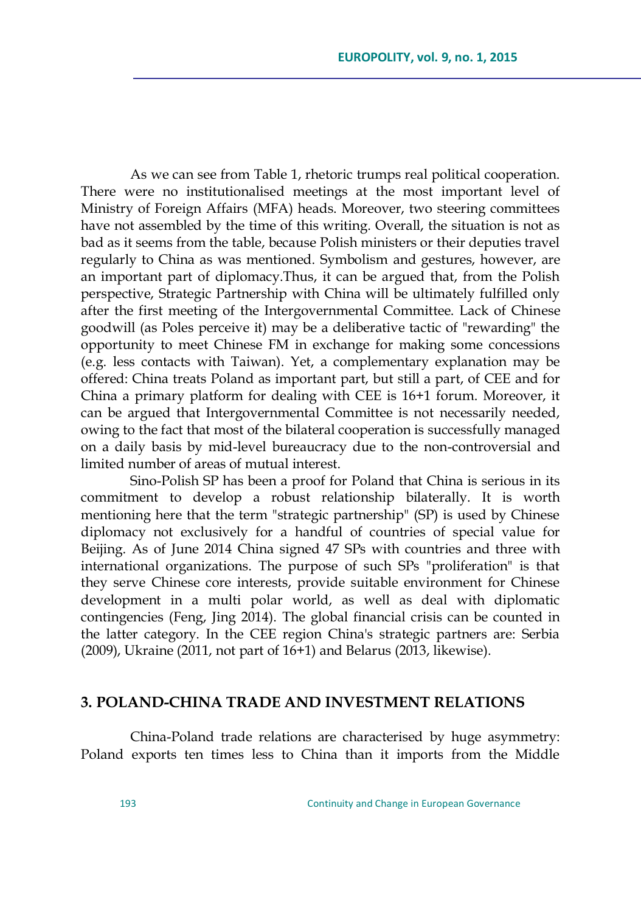As we can see from Table 1, rhetoric trumps real political cooperation. There were no institutionalised meetings at the most important level of Ministry of Foreign Affairs (MFA) heads. Moreover, two steering committees have not assembled by the time of this writing. Overall, the situation is not as bad as it seems from the table, because Polish ministers or their deputies travel regularly to China as was mentioned. Symbolism and gestures, however, are an important part of diplomacy.Thus, it can be argued that, from the Polish perspective, Strategic Partnership with China will be ultimately fulfilled only after the first meeting of the Intergovernmental Committee. Lack of Chinese goodwill (as Poles perceive it) may be a deliberative tactic of "rewarding" the opportunity to meet Chinese FM in exchange for making some concessions (e.g. less contacts with Taiwan). Yet, a complementary explanation may be offered: China treats Poland as important part, but still a part, of CEE and for China a primary platform for dealing with CEE is 16+1 forum. Moreover, it can be argued that Intergovernmental Committee is not necessarily needed, owing to the fact that most of the bilateral cooperation is successfully managed on a daily basis by mid-level bureaucracy due to the non-controversial and limited number of areas of mutual interest.

Sino-Polish SP has been a proof for Poland that China is serious in its commitment to develop a robust relationship bilaterally. It is worth mentioning here that the term "strategic partnership" (SP) is used by Chinese diplomacy not exclusively for a handful of countries of special value for Beijing. As of June 2014 China signed 47 SPs with countries and three with international organizations. The purpose of such SPs "proliferation" is that they serve Chinese core interests, provide suitable environment for Chinese development in a multi polar world, as well as deal with diplomatic contingencies (Feng, Jing 2014). The global financial crisis can be counted in the latter category. In the CEE region China's strategic partners are: Serbia (2009), Ukraine (2011, not part of 16+1) and Belarus (2013, likewise).

#### **3. POLAND-CHINA TRADE AND INVESTMENT RELATIONS**

China-Poland trade relations are characterised by huge asymmetry: Poland exports ten times less to China than it imports from the Middle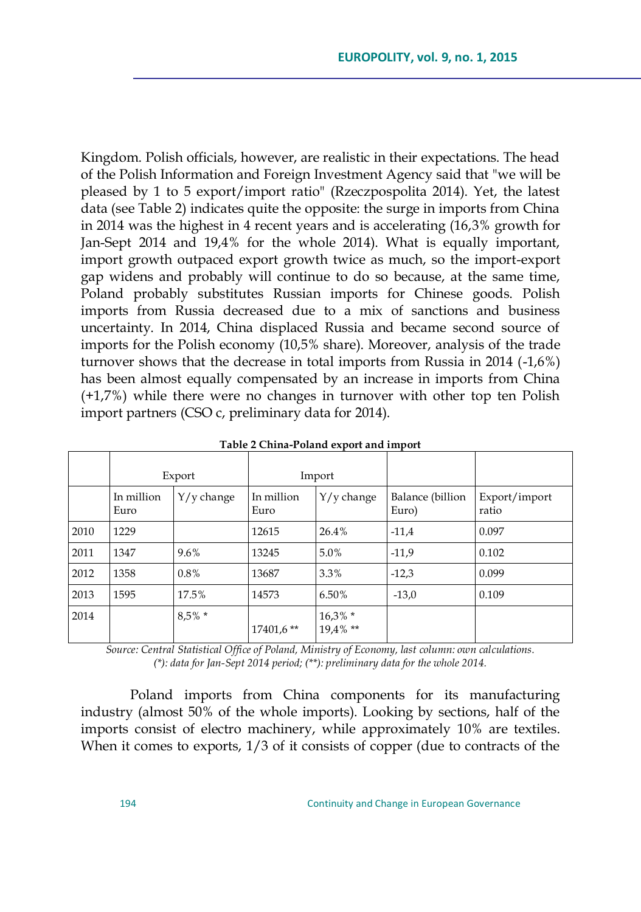Kingdom. Polish officials, however, are realistic in their expectations. The head of the Polish Information and Foreign Investment Agency said that "we will be pleased by 1 to 5 export/import ratio" (Rzeczpospolita 2014). Yet, the latest data (see Table 2) indicates quite the opposite: the surge in imports from China in 2014 was the highest in 4 recent years and is accelerating (16,3% growth for Jan-Sept 2014 and 19,4% for the whole 2014). What is equally important, import growth outpaced export growth twice as much, so the import-export gap widens and probably will continue to do so because, at the same time, Poland probably substitutes Russian imports for Chinese goods. Polish imports from Russia decreased due to a mix of sanctions and business uncertainty. In 2014, China displaced Russia and became second source of imports for the Polish economy (10,5% share). Moreover, analysis of the trade turnover shows that the decrease in total imports from Russia in 2014 (-1,6%) has been almost equally compensated by an increase in imports from China (+1,7%) while there were no changes in turnover with other top ten Polish import partners (CSO c, preliminary data for 2014).

|      | Export             |              | Import             |                       |                           |                        |
|------|--------------------|--------------|--------------------|-----------------------|---------------------------|------------------------|
|      | In million<br>Euro | $Y/y$ change | In million<br>Euro | $Y/y$ change          | Balance (billion<br>Euro) | Export/import<br>ratio |
| 2010 | 1229               |              | 12615              | 26.4%                 | $-11.4$                   | 0.097                  |
| 2011 | 1347               | 9.6%         | 13245              | 5.0%                  | $-11,9$                   | 0.102                  |
| 2012 | 1358               | 0.8%         | 13687              | 3.3%                  | $-12,3$                   | 0.099                  |
| 2013 | 1595               | 17.5%        | 14573              | 6.50%                 | $-13,0$                   | 0.109                  |
| 2014 |                    | $8.5\% *$    | $17401.6$ **       | $16,3%$ *<br>19,4% ** |                           |                        |

**Table 2 China-Poland export and import**

*Source: Central Statistical Office of Poland, Ministry of Economy, last column: own calculations. (\*): data for Jan-Sept 2014 period; (\*\*): preliminary data for the whole 2014.*

Poland imports from China components for its manufacturing industry (almost 50% of the whole imports). Looking by sections, half of the imports consist of electro machinery, while approximately 10% are textiles. When it comes to exports,  $1/3$  of it consists of copper (due to contracts of the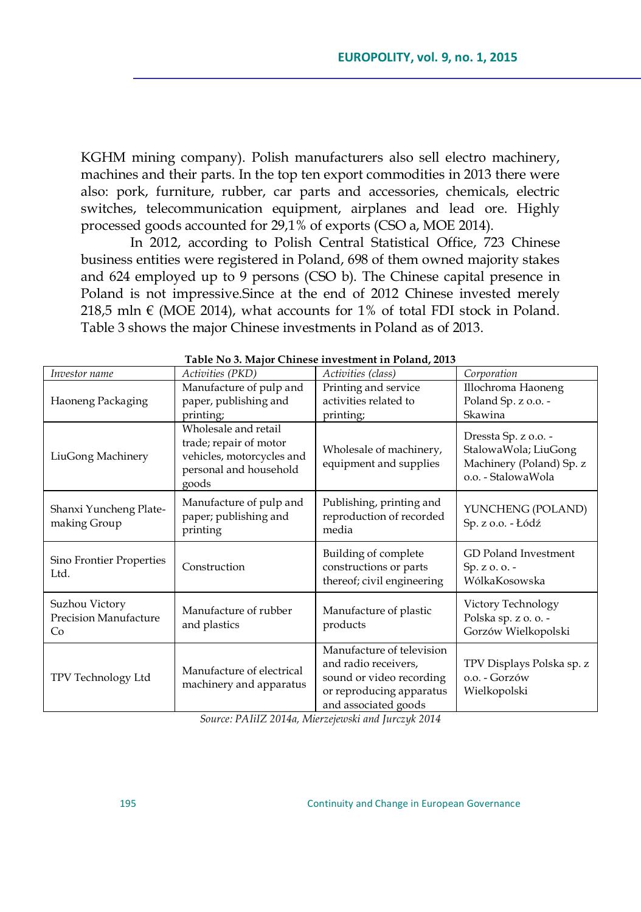KGHM mining company). Polish manufacturers also sell electro machinery, machines and their parts. In the top ten export commodities in 2013 there were also: pork, furniture, rubber, car parts and accessories, chemicals, electric switches, telecommunication equipment, airplanes and lead ore. Highly processed goods accounted for 29,1% of exports (CSO a, MOE 2014).

In 2012, according to Polish Central Statistical Office, 723 Chinese business entities were registered in Poland, 698 of them owned majority stakes and 624 employed up to 9 persons (CSO b). The Chinese capital presence in Poland is not impressive.Since at the end of 2012 Chinese invested merely 218,5 mln  $\in$  (MOE 2014), what accounts for 1% of total FDI stock in Poland. Table 3 shows the major Chinese investments in Poland as of 2013.

| Investor name                                 | Activities (PKD)                                                                                                                                                    | $14000$ , $1400$ emigration $1000$<br>Activities (class)                                                                          | Corporation                                                                                    |  |
|-----------------------------------------------|---------------------------------------------------------------------------------------------------------------------------------------------------------------------|-----------------------------------------------------------------------------------------------------------------------------------|------------------------------------------------------------------------------------------------|--|
| Haoneng Packaging                             | Manufacture of pulp and<br>paper, publishing and<br>printing;                                                                                                       | Printing and service<br>activities related to<br>printing;                                                                        | Illochroma Haoneng<br>Poland Sp. z o.o. -<br>Skawina                                           |  |
| LiuGong Machinery                             | Wholesale and retail<br>trade; repair of motor<br>Wholesale of machinery,<br>vehicles, motorcycles and<br>equipment and supplies<br>personal and household<br>goods |                                                                                                                                   | Dressta Sp. z o.o. -<br>StalowaWola; LiuGong<br>Machinery (Poland) Sp. z<br>o.o. - StalowaWola |  |
| Shanxi Yuncheng Plate-<br>making Group        | Manufacture of pulp and<br>Publishing, printing and<br>reproduction of recorded<br>paper; publishing and<br>media<br>printing                                       |                                                                                                                                   | YUNCHENG (POLAND)<br>Sp. z o.o. - Łódź                                                         |  |
| Sino Frontier Properties<br>Ltd.              | Construction                                                                                                                                                        | Building of complete<br>constructions or parts<br>thereof; civil engineering                                                      | <b>GD</b> Poland Investment<br>$Sp. z. 0. 0. -$<br>WólkaKosowska                               |  |
| Suzhou Victory<br>Precision Manufacture<br>Co | Manufacture of rubber<br>and plastics                                                                                                                               | Manufacture of plastic<br>products                                                                                                | Victory Technology<br>Polska sp. z o. o. -<br>Gorzów Wielkopolski                              |  |
| TPV Technology Ltd                            | Manufacture of electrical<br>machinery and apparatus                                                                                                                | Manufacture of television<br>and radio receivers,<br>sound or video recording<br>or reproducing apparatus<br>and associated goods | TPV Displays Polska sp. z<br>o.o. - Gorzów<br>Wielkopolski                                     |  |

| Table No 3. Major Chinese investment in Poland, 2013 |  |  |  |  |  |
|------------------------------------------------------|--|--|--|--|--|
|------------------------------------------------------|--|--|--|--|--|

*Source: PAIiIZ 2014a, Mierzejewski and Jurczyk 2014*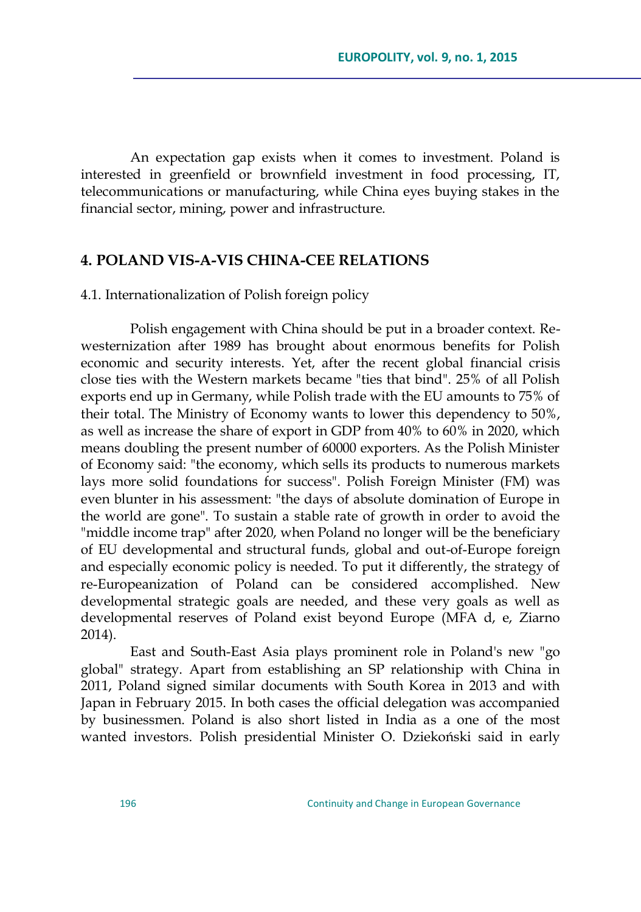An expectation gap exists when it comes to investment. Poland is interested in greenfield or brownfield investment in food processing, IT, telecommunications or manufacturing, while China eyes buying stakes in the financial sector, mining, power and infrastructure.

### **4. POLAND VIS-A-VIS CHINA-CEE RELATIONS**

#### 4.1. Internationalization of Polish foreign policy

Polish engagement with China should be put in a broader context. Rewesternization after 1989 has brought about enormous benefits for Polish economic and security interests. Yet, after the recent global financial crisis close ties with the Western markets became "ties that bind". 25% of all Polish exports end up in Germany, while Polish trade with the EU amounts to 75% of their total. The Ministry of Economy wants to lower this dependency to 50%, as well as increase the share of export in GDP from 40% to 60% in 2020, which means doubling the present number of 60000 exporters. As the Polish Minister of Economy said: "the economy, which sells its products to numerous markets lays more solid foundations for success". Polish Foreign Minister (FM) was even blunter in his assessment: "the days of absolute domination of Europe in the world are gone". To sustain a stable rate of growth in order to avoid the "middle income trap" after 2020, when Poland no longer will be the beneficiary of EU developmental and structural funds, global and out-of-Europe foreign and especially economic policy is needed. To put it differently, the strategy of re-Europeanization of Poland can be considered accomplished. New developmental strategic goals are needed, and these very goals as well as developmental reserves of Poland exist beyond Europe (MFA d, e, Ziarno 2014).

East and South-East Asia plays prominent role in Poland's new "go global" strategy. Apart from establishing an SP relationship with China in 2011, Poland signed similar documents with South Korea in 2013 and with Japan in February 2015. In both cases the official delegation was accompanied by businessmen. Poland is also short listed in India as a one of the most wanted investors. Polish presidential Minister O. Dziekoński said in early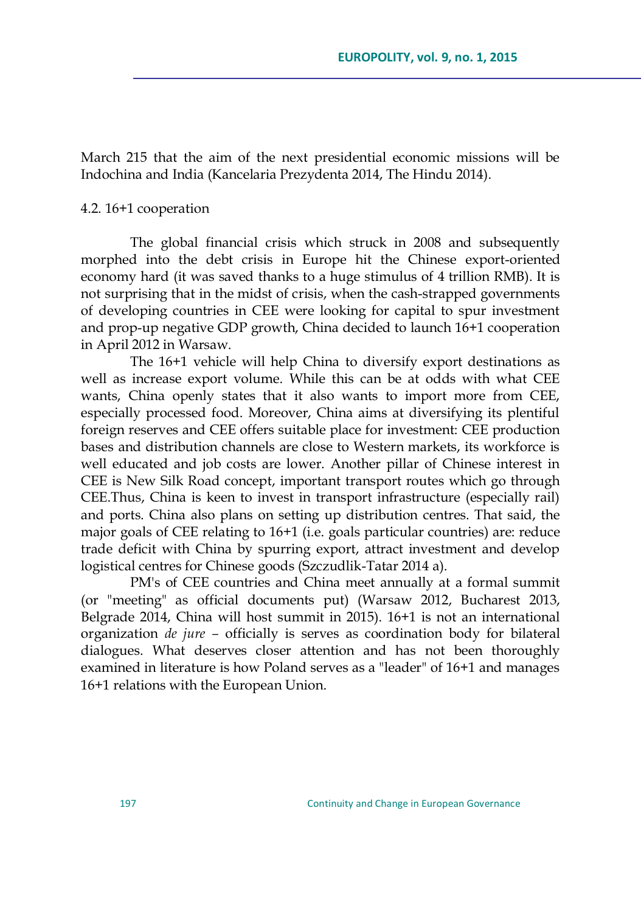March 215 that the aim of the next presidential economic missions will be Indochina and India (Kancelaria Prezydenta 2014, The Hindu 2014).

#### 4.2. 16+1 cooperation

The global financial crisis which struck in 2008 and subsequently morphed into the debt crisis in Europe hit the Chinese export-oriented economy hard (it was saved thanks to a huge stimulus of 4 trillion RMB). It is not surprising that in the midst of crisis, when the cash-strapped governments of developing countries in CEE were looking for capital to spur investment and prop-up negative GDP growth, China decided to launch 16+1 cooperation in April 2012 in Warsaw.

The 16+1 vehicle will help China to diversify export destinations as well as increase export volume. While this can be at odds with what CEE wants, China openly states that it also wants to import more from CEE, especially processed food. Moreover, China aims at diversifying its plentiful foreign reserves and CEE offers suitable place for investment: CEE production bases and distribution channels are close to Western markets, its workforce is well educated and job costs are lower. Another pillar of Chinese interest in CEE is New Silk Road concept, important transport routes which go through CEE.Thus, China is keen to invest in transport infrastructure (especially rail) and ports. China also plans on setting up distribution centres. That said, the major goals of CEE relating to 16+1 (i.e. goals particular countries) are: reduce trade deficit with China by spurring export, attract investment and develop logistical centres for Chinese goods (Szczudlik-Tatar 2014 a).

PM's of CEE countries and China meet annually at a formal summit (or "meeting" as official documents put) (Warsaw 2012, Bucharest 2013, Belgrade 2014, China will host summit in 2015). 16+1 is not an international organization *de jure –* officially is serves as coordination body for bilateral dialogues. What deserves closer attention and has not been thoroughly examined in literature is how Poland serves as a "leader" of 16+1 and manages 16+1 relations with the European Union.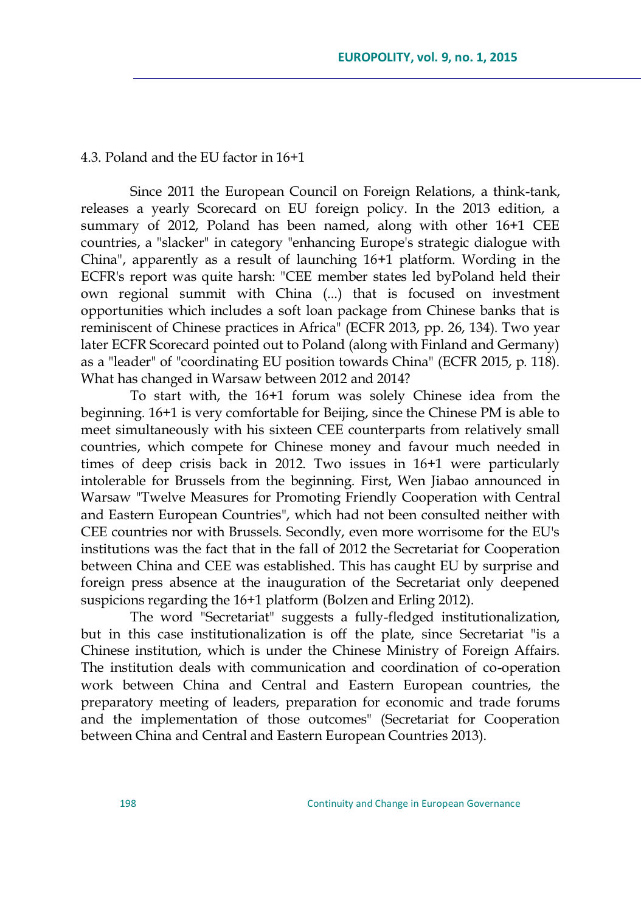#### 4.3. Poland and the EU factor in 16+1

Since 2011 the European Council on Foreign Relations, a think-tank, releases a yearly Scorecard on EU foreign policy. In the 2013 edition, a summary of 2012, Poland has been named, along with other 16+1 CEE countries, a "slacker" in category "enhancing Europe's strategic dialogue with China", apparently as a result of launching 16+1 platform. Wording in the ECFR's report was quite harsh: "CEE member states led byPoland held their own regional summit with China (...) that is focused on investment opportunities which includes a soft loan package from Chinese banks that is reminiscent of Chinese practices in Africa" (ECFR 2013, pp. 26, 134). Two year later ECFR Scorecard pointed out to Poland (along with Finland and Germany) as a "leader" of "coordinating EU position towards China" (ECFR 2015, p. 118). What has changed in Warsaw between 2012 and 2014?

To start with, the 16+1 forum was solely Chinese idea from the beginning. 16+1 is very comfortable for Beijing, since the Chinese PM is able to meet simultaneously with his sixteen CEE counterparts from relatively small countries, which compete for Chinese money and favour much needed in times of deep crisis back in 2012. Two issues in 16+1 were particularly intolerable for Brussels from the beginning. First, Wen Jiabao announced in Warsaw "Twelve Measures for Promoting Friendly Cooperation with Central and Eastern European Countries", which had not been consulted neither with CEE countries nor with Brussels. Secondly, even more worrisome for the EU's institutions was the fact that in the fall of 2012 the Secretariat for Cooperation between China and CEE was established. This has caught EU by surprise and foreign press absence at the inauguration of the Secretariat only deepened suspicions regarding the 16+1 platform [\(B](http://www.worldcrunch.com/world-affairs/divide-conquer-aim-east-china-has-a-sharp-new-european-trade-strategy/eastern-europe-beijing-foreign-commerce/c1s10100/#.VJv1qcCDo)olzen and Erling 2012).

The word "Secretariat" suggests a fully-fledged institutionalization, but in this case institutionalization is off the plate, since Secretariat "is a Chinese institution, which is under the Chinese Ministry of Foreign Affairs. The institution deals with communication and coordination of co-operation work between China and Central and Eastern European countries, the preparatory meeting of leaders, preparation for economic and trade forums and the implementation of those outcomes" (Secretariat for Cooperation between China and Central and Eastern European Countries 2013).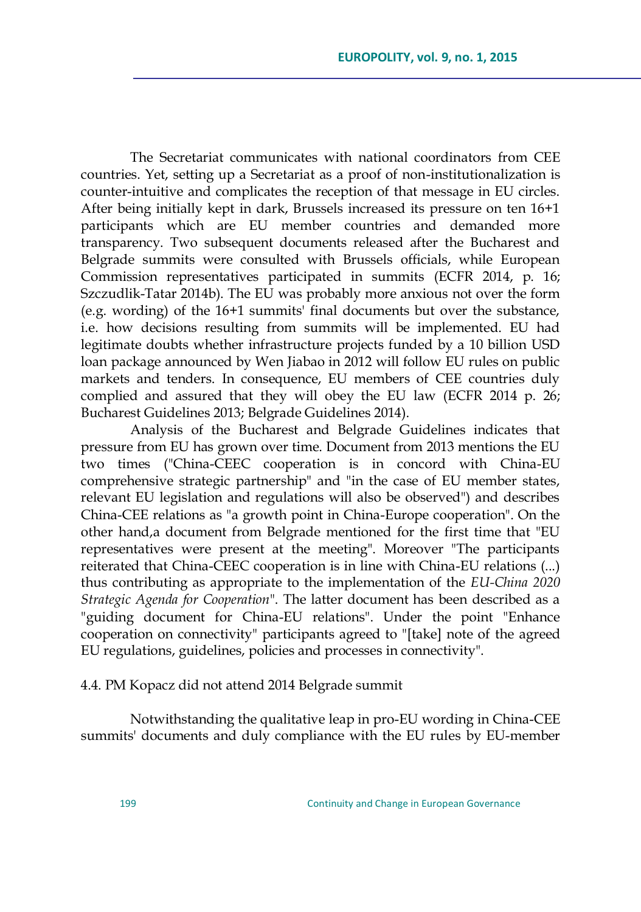The Secretariat communicates with national coordinators from CEE countries. Yet, setting up a Secretariat as a proof of non-institutionalization is counter-intuitive and complicates the reception of that message in EU circles. After being initially kept in dark, Brussels increased its pressure on ten 16+1 participants which are EU member countries and demanded more transparency. Two subsequent documents released after the Bucharest and Belgrade summits were consulted with Brussels officials, while European Commission representatives participated in summits (ECFR 2014, p. 16; Szczudlik-Tatar 2014b). The EU was probably more anxious not over the form (e.g. wording) of the 16+1 summits' final documents but over the substance, i.e. how decisions resulting from summits will be implemented. EU had legitimate doubts whether infrastructure projects funded by a 10 billion USD loan package announced by Wen Jiabao in 2012 will follow EU rules on public markets and tenders. In consequence, EU members of CEE countries duly complied and assured that they will obey the EU law (ECFR 2014 p. 26; Bucharest Guidelines 2013; Belgrade Guidelines 2014).

Analysis of the Bucharest and Belgrade Guidelines indicates that pressure from EU has grown over time. Document from 2013 mentions the EU two times ("China-CEEC cooperation is in concord with China-EU comprehensive strategic partnership" and "in the case of EU member states, relevant EU legislation and regulations will also be observed") and describes China-CEE relations as "a growth point in China-Europe cooperation". On the other hand,a document from Belgrade mentioned for the first time that "EU representatives were present at the meeting". Moreover "The participants reiterated that China-CEEC cooperation is in line with China-EU relations (...) thus contributing as appropriate to the implementation of the *EU-China 2020 Strategic Agenda for Cooperation*". The latter document has been described as a "guiding document for China-EU relations". Under the point "Enhance cooperation on connectivity" participants agreed to "[take] note of the agreed EU regulations, guidelines, policies and processes in connectivity".

### 4.4. PM Kopacz did not attend 2014 Belgrade summit

Notwithstanding the qualitative leap in pro-EU wording in China-CEE summits' documents and duly compliance with the EU rules by EU-member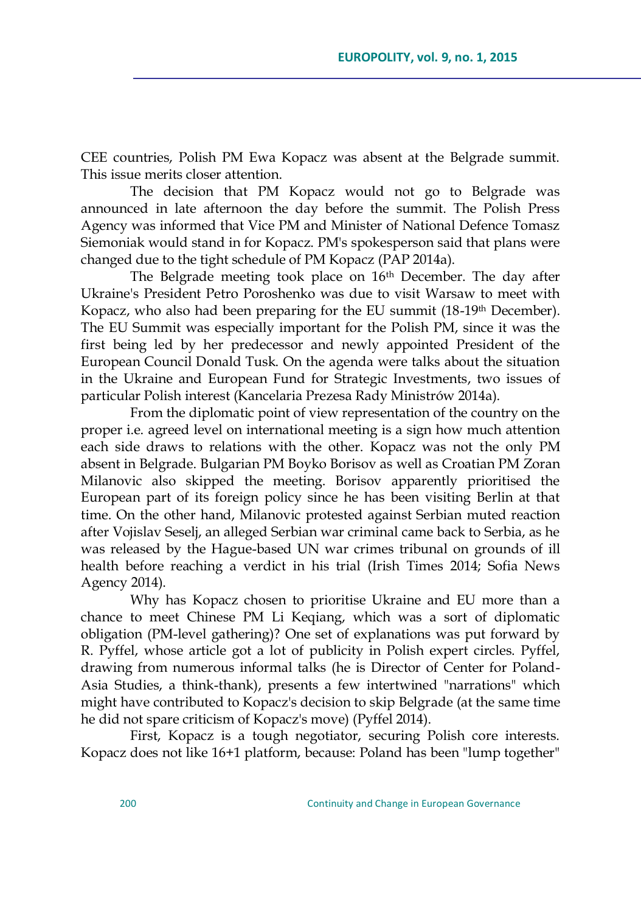CEE countries, Polish PM Ewa Kopacz was absent at the Belgrade summit. This issue merits closer attention.

The decision that PM Kopacz would not go to Belgrade was announced in late afternoon the day before the summit. The Polish Press Agency was informed that Vice PM and Minister of National Defence Tomasz Siemoniak would stand in for Kopacz. PM's spokesperson said that plans were changed due to the tight schedule of PM Kopacz (PAP 2014a).

The Belgrade meeting took place on 16<sup>th</sup> December. The day after Ukraine's President Petro Poroshenko was due to visit Warsaw to meet with Kopacz, who also had been preparing for the EU summit (18-19<sup>th</sup> December). The EU Summit was especially important for the Polish PM, since it was the first being led by her predecessor and newly appointed President of the European Council Donald Tusk. On the agenda were talks about the situation in the Ukraine and European Fund for Strategic Investments, two issues of particular Polish interest (Kancelaria Prezesa Rady Ministrów 2014a).

From the diplomatic point of view representation of the country on the proper i.e. agreed level on international meeting is a sign how much attention each side draws to relations with the other. Kopacz was not the only PM absent in Belgrade. Bulgarian PM Boyko Borisov as well as Croatian PM Zoran Milanovic also skipped the meeting. Borisov apparently prioritised the European part of its foreign policy since he has been visiting Berlin at that time. On the other hand, Milanovic protested against Serbian muted reaction after Vojislav Seselj, an alleged Serbian war criminal came back to Serbia, as he was released by the Hague-based UN war crimes tribunal on grounds of ill health before reaching a verdict in his trial (Irish Times 2014; Sofia News Agency 2014).

Why has Kopacz chosen to prioritise Ukraine and EU more than a chance to meet Chinese PM Li Keqiang, which was a sort of diplomatic obligation (PM-level gathering)? One set of explanations was put forward by R. Pyffel, whose article got a lot of publicity in Polish expert circles. Pyffel, drawing from numerous informal talks (he is Director of Center for Poland-Asia Studies, a think-thank), presents a few intertwined "narrations" which might have contributed to Kopacz's decision to skip Belgrade (at the same time he did not spare criticism of Kopacz's move) (Pyffel 2014).

First, Kopacz is a tough negotiator, securing Polish core interests. Kopacz does not like 16+1 platform, because: Poland has been "lump together"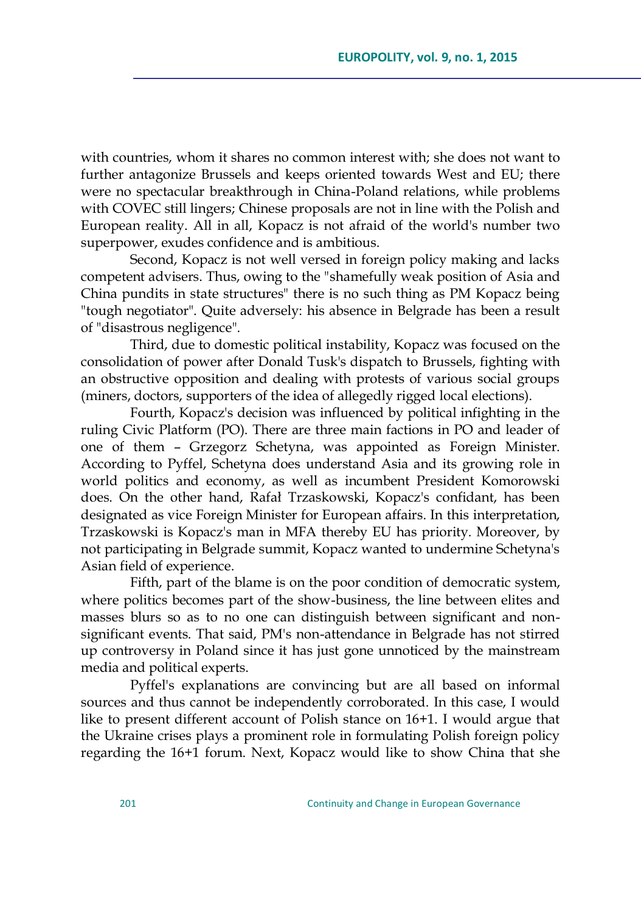with countries, whom it shares no common interest with; she does not want to further antagonize Brussels and keeps oriented towards West and EU; there were no spectacular breakthrough in China-Poland relations, while problems with COVEC still lingers; Chinese proposals are not in line with the Polish and European reality. All in all, Kopacz is not afraid of the world's number two superpower, exudes confidence and is ambitious.

Second, Kopacz is not well versed in foreign policy making and lacks competent advisers. Thus, owing to the "shamefully weak position of Asia and China pundits in state structures" there is no such thing as PM Kopacz being "tough negotiator". Quite adversely: his absence in Belgrade has been a result of "disastrous negligence".

Third, due to domestic political instability, Kopacz was focused on the consolidation of power after Donald Tusk's dispatch to Brussels, fighting with an obstructive opposition and dealing with protests of various social groups (miners, doctors, supporters of the idea of allegedly rigged local elections).

Fourth, Kopacz's decision was influenced by political infighting in the ruling Civic Platform (PO). There are three main factions in PO and leader of one of them – Grzegorz Schetyna, was appointed as Foreign Minister. According to Pyffel, Schetyna does understand Asia and its growing role in world politics and economy, as well as incumbent President Komorowski does. On the other hand, Rafał Trzaskowski, Kopacz's confidant, has been designated as vice Foreign Minister for European affairs. In this interpretation, Trzaskowski is Kopacz's man in MFA thereby EU has priority. Moreover, by not participating in Belgrade summit, Kopacz wanted to undermine Schetyna's Asian field of experience.

Fifth, part of the blame is on the poor condition of democratic system, where politics becomes part of the show-business, the line between elites and masses blurs so as to no one can distinguish between significant and nonsignificant events. That said, PM's non-attendance in Belgrade has not stirred up controversy in Poland since it has just gone unnoticed by the mainstream media and political experts.

Pyffel's explanations are convincing but are all based on informal sources and thus cannot be independently corroborated. In this case, I would like to present different account of Polish stance on 16+1. I would argue that the Ukraine crises plays a prominent role in formulating Polish foreign policy regarding the 16+1 forum. Next, Kopacz would like to show China that she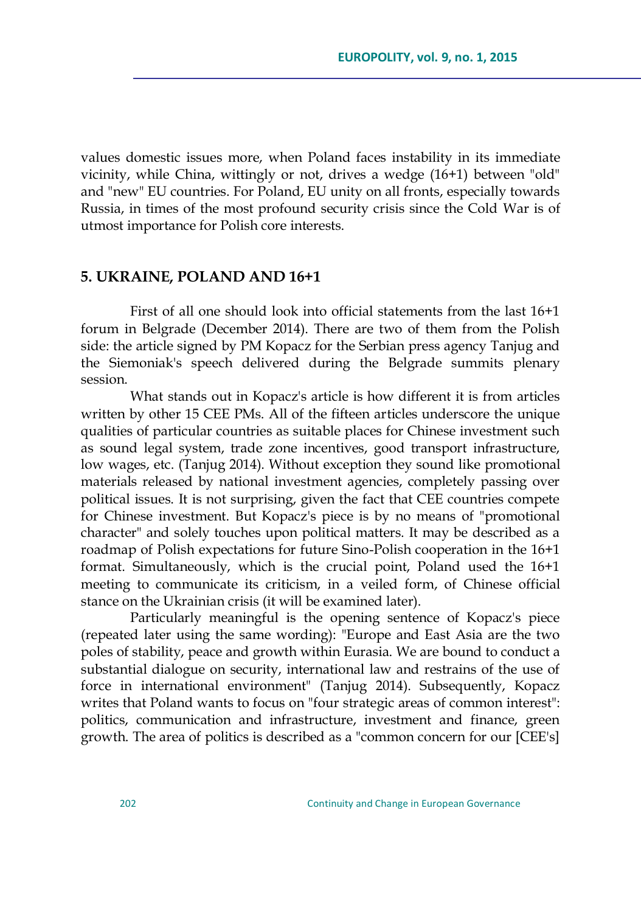values domestic issues more, when Poland faces instability in its immediate vicinity, while China, wittingly or not, drives a wedge (16+1) between "old" and "new" EU countries. For Poland, EU unity on all fronts, especially towards Russia, in times of the most profound security crisis since the Cold War is of utmost importance for Polish core interests.

#### **5. UKRAINE, POLAND AND 16+1**

First of all one should look into official statements from the last 16+1 forum in Belgrade (December 2014). There are two of them from the Polish side: the article signed by PM Kopacz for the Serbian press agency Tanjug and the Siemoniak's speech delivered during the Belgrade summits plenary session.

What stands out in Kopacz's article is how different it is from articles written by other 15 CEE PMs. All of the fifteen articles underscore the unique qualities of particular countries as suitable places for Chinese investment such as sound legal system, trade zone incentives, good transport infrastructure, low wages, etc. (Tanjug 2014). Without exception they sound like promotional materials released by national investment agencies, completely passing over political issues. It is not surprising, given the fact that CEE countries compete for Chinese investment. But Kopacz's piece is by no means of "promotional character" and solely touches upon political matters. It may be described as a roadmap of Polish expectations for future Sino-Polish cooperation in the 16+1 format. Simultaneously, which is the crucial point, Poland used the 16+1 meeting to communicate its criticism, in a veiled form, of Chinese official stance on the Ukrainian crisis (it will be examined later).

Particularly meaningful is the opening sentence of Kopacz's piece (repeated later using the same wording): "Europe and East Asia are the two poles of stability, peace and growth within Eurasia. We are bound to conduct a substantial dialogue on security, international law and restrains of the use of force in international environment" (Tanjug 2014). Subsequently, Kopacz writes that Poland wants to focus on "four strategic areas of common interest": politics, communication and infrastructure, investment and finance, green growth. The area of politics is described as a "common concern for our [CEE's]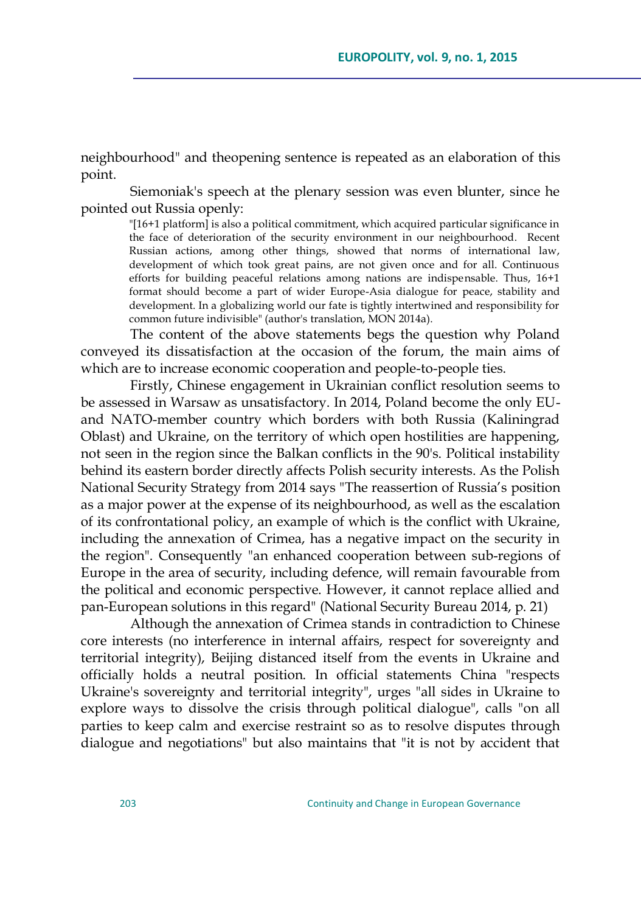neighbourhood" and theopening sentence is repeated as an elaboration of this point.

Siemoniak's speech at the plenary session was even blunter, since he pointed out Russia openly:

"[16+1 platform] is also a political commitment, which acquired particular significance in the face of deterioration of the security environment in our neighbourhood. Recent Russian actions, among other things, showed that norms of international law, development of which took great pains, are not given once and for all. Continuous efforts for building peaceful relations among nations are indispensable. Thus, 16+1 format should become a part of wider Europe-Asia dialogue for peace, stability and development. In a globalizing world our fate is tightly intertwined and responsibility for common future indivisible" (author's translation, MON 2014a).

The content of the above statements begs the question why Poland conveyed its dissatisfaction at the occasion of the forum, the main aims of which are to increase economic cooperation and people-to-people ties.

Firstly, Chinese engagement in Ukrainian conflict resolution seems to be assessed in Warsaw as unsatisfactory. In 2014, Poland become the only EUand NATO-member country which borders with both Russia (Kaliningrad Oblast) and Ukraine, on the territory of which open hostilities are happening, not seen in the region since the Balkan conflicts in the 90's. Political instability behind its eastern border directly affects Polish security interests. As the Polish National Security Strategy from 2014 says "The reassertion of Russia's position as a major power at the expense of its neighbourhood, as well as the escalation of its confrontational policy, an example of which is the conflict with Ukraine, including the annexation of Crimea, has a negative impact on the security in the region". Consequently "an enhanced cooperation between sub-regions of Europe in the area of security, including defence, will remain favourable from the political and economic perspective. However, it cannot replace allied and pan-European solutions in this regard" (National Security Bureau 2014, p. 21)

Although the annexation of Crimea stands in contradiction to Chinese core interests (no interference in internal affairs, respect for sovereignty and territorial integrity), Beijing distanced itself from the events in Ukraine and officially holds a neutral position. In official statements China "respects Ukraine's sovereignty and territorial integrity", urges "all sides in Ukraine to explore ways to dissolve the crisis through political dialogue", calls "on all parties to keep calm and exercise restraint so as to resolve disputes through dialogue and negotiations" but also maintains that "it is not by accident that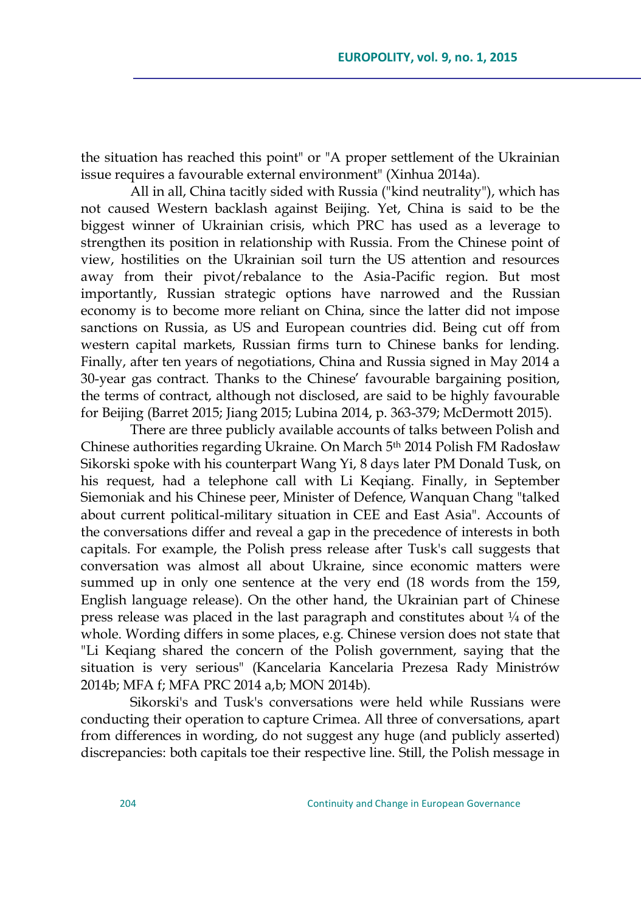the situation has reached this point" or "A proper settlement of the Ukrainian issue requires a favourable external environment" (Xinhua 2014a).

All in all, China tacitly sided with Russia ("kind neutrality"), which has not caused Western backlash against Beijing. Yet, China is said to be the biggest winner of Ukrainian crisis, which PRC has used as a leverage to strengthen its position in relationship with Russia. From the Chinese point of view, hostilities on the Ukrainian soil turn the US attention and resources away from their pivot/rebalance to the Asia-Pacific region. But most importantly, Russian strategic options have narrowed and the Russian economy is to become more reliant on China, since the latter did not impose sanctions on Russia, as US and European countries did. Being cut off from western capital markets, Russian firms turn to Chinese banks for lending. Finally, after ten years of negotiations, China and Russia signed in May 2014 a 30-year gas contract. Thanks to the Chinese' favourable bargaining position, the terms of contract, although not disclosed, are said to be highly favourable for Beijing (Barret 2015; Jiang 2015; Lubina 2014, p. 363-379; McDermott 2015).

There are three publicly available accounts of talks between Polish and Chinese authorities regarding Ukraine. On March 5th 2014 Polish FM Radosław Sikorski spoke with his counterpart Wang Yi, 8 days later PM Donald Tusk, on his request, had a telephone call with Li Keqiang. Finally, in September Siemoniak and his Chinese peer, Minister of Defence, Wanquan Chang "talked about current political-military situation in CEE and East Asia". Accounts of the conversations differ and reveal a gap in the precedence of interests in both capitals. For example, the Polish press release after Tusk's call suggests that conversation was almost all about Ukraine, since economic matters were summed up in only one sentence at the very end (18 words from the 159, English language release). On the other hand, the Ukrainian part of Chinese press release was placed in the last paragraph and constitutes about ¼ of the whole. Wording differs in some places, e.g. Chinese version does not state that "Li Keqiang shared the concern of the Polish government, saying that the situation is very serious" (Kancelaria Kancelaria Prezesa Rady Ministrów 2014b; MFA f; MFA PRC 2014 a,b; MON 2014b).

Sikorski's and Tusk's conversations were held while Russians were conducting their operation to capture Crimea. All three of conversations, apart from differences in wording, do not suggest any huge (and publicly asserted) discrepancies: both capitals toe their respective line. Still, the Polish message in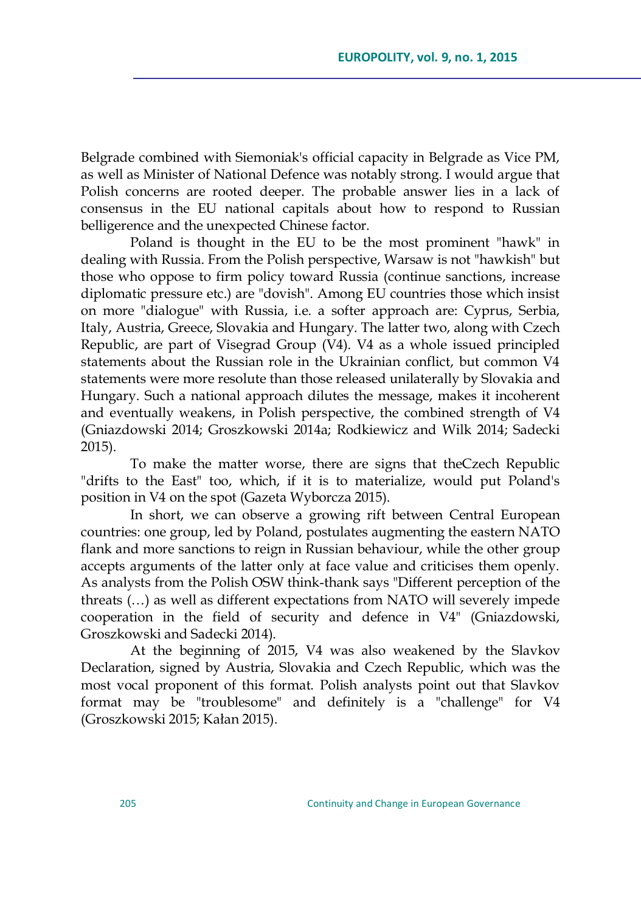Belgrade combined with Siemoniak's official capacity in Belgrade as Vice PM, as well as Minister of National Defence was notably strong. I would argue that Polish concerns are rooted deeper. The probable answer lies in a lack of consensus in the EU national capitals about how to respond to Russian belligerence and the unexpected Chinese factor.

Poland is thought in the EU to be the most prominent "hawk" in dealing with Russia. From the Polish perspective, Warsaw is not "hawkish" but those who oppose to firm policy toward Russia (continue sanctions, increase diplomatic pressure etc.) are "dovish". Among EU countries those which insist on more "dialogue" with Russia, i.e. a softer approach are: Cyprus, Serbia, Italy, Austria, Greece, Slovakia and Hungary. The latter two, along with Czech Republic, are part of Visegrad Group (V4). V4 as a whole issued principled statements about the Russian role in the Ukrainian conflict, but common V4 statements were more resolute than those released unilaterally by Slovakia and Hungary. Such a national approach dilutes the message, makes it incoherent and eventually weakens, in Polish perspective, the combined strength of V4 (Gniazdowski 2014; Groszkowski 2014a; Rodkiewicz and Wilk 2014; Sadecki 2015).

To make the matter worse, there are signs that theCzech Republic "drifts to the East" too, which, if it is to materialize, would put Poland's position in V4 on the spot (Gazeta Wyborcza 2015).

In short, we can observe a growing rift between Central European countries: one group, led by Poland, postulates augmenting the eastern NATO flank and more sanctions to reign in Russian behaviour, while the other group accepts arguments of the latter only at face value and criticises them openly. As analysts from the Polish OSW think-thank says "Different perception of the threats (…) as well as different expectations from NATO will severely impede cooperation in the field of security and defence in V4" (Gniazdowski, Groszkowski and Sadecki 2014).

At the beginning of 2015, V4 was also weakened by the Slavkov Declaration, signed by Austria, Slovakia and Czech Republic, which was the most vocal proponent of this format. Polish analysts point out that Slavkov format may be "troublesome" and definitely is a "challenge" for V4 (Groszkowski 2015; Kałan 2015).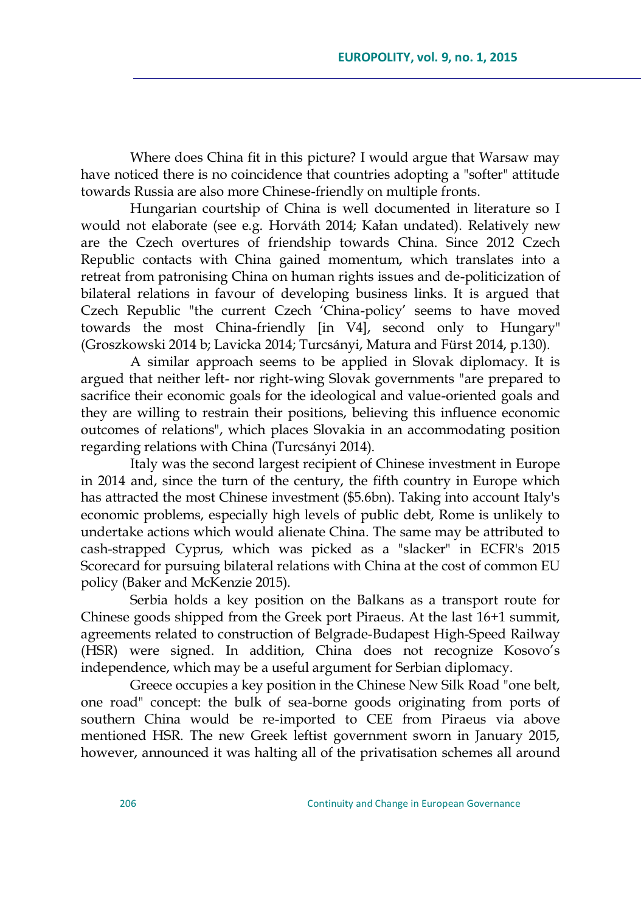Where does China fit in this picture? I would argue that Warsaw may have noticed there is no coincidence that countries adopting a "softer" attitude towards Russia are also more Chinese-friendly on multiple fronts.

Hungarian courtship of China is well documented in literature so I would not elaborate (see e.g. Horváth 2014; Kałan undated). Relatively new are the Czech overtures of friendship towards China. Since 2012 Czech Republic contacts with China gained momentum, which translates into a retreat from patronising China on human rights issues and de-politicization of bilateral relations in favour of developing business links. It is argued that Czech Republic "the current Czech ‗China-policy' seems to have moved towards the most China-friendly [in V4], second only to Hungary" (Groszkowski 2014 b; Lavicka 2014; Turcsányi, Matura and Fürst 2014, p.130).

A similar approach seems to be applied in Slovak diplomacy. It is argued that neither left- nor right-wing Slovak governments "are prepared to sacrifice their economic goals for the ideological and value-oriented goals and they are willing to restrain their positions, believing this influence economic outcomes of relations", which places Slovakia in an accommodating position regarding relations with China (Turcsányi 2014).

Italy was the second largest recipient of Chinese investment in Europe in 2014 and, since the turn of the century, the fifth country in Europe which has attracted the most Chinese investment (\$5.6bn). Taking into account Italy's economic problems, especially high levels of public debt, Rome is unlikely to undertake actions which would alienate China. The same may be attributed to cash-strapped Cyprus, which was picked as a "slacker" in ECFR's 2015 Scorecard for pursuing bilateral relations with China at the cost of common EU policy (Baker and McKenzie 2015).

Serbia holds a key position on the Balkans as a transport route for Chinese goods shipped from the Greek port Piraeus. At the last 16+1 summit, agreements related to construction of Belgrade-Budapest High-Speed Railway (HSR) were signed. In addition, China does not recognize Kosovo's independence, which may be a useful argument for Serbian diplomacy.

Greece occupies a key position in the Chinese New Silk Road "one belt, one road" concept: the bulk of sea-borne goods originating from ports of southern China would be re-imported to CEE from Piraeus via above mentioned HSR. The new Greek leftist government sworn in January 2015, however, announced it was halting all of the privatisation schemes all around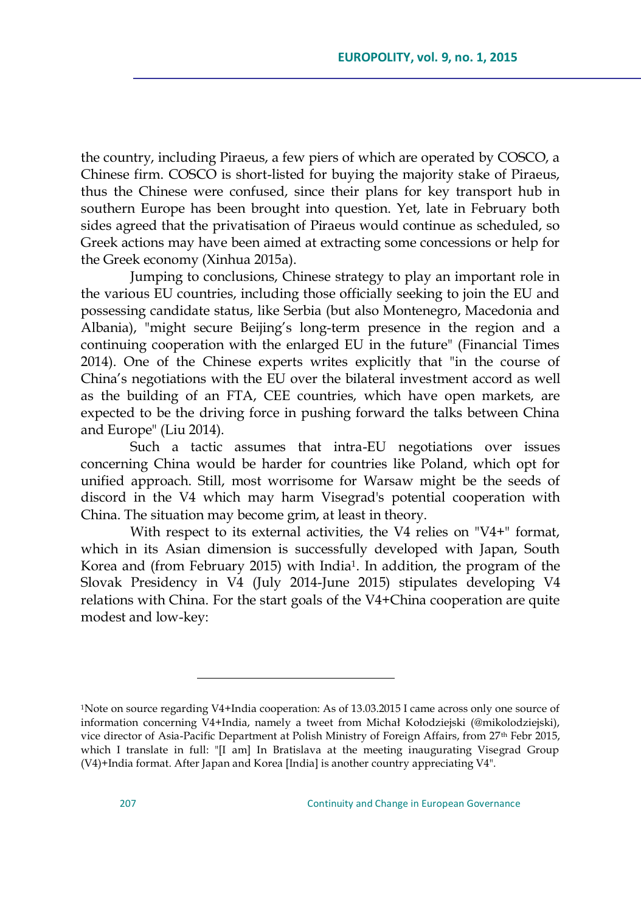the country, including Piraeus, a few piers of which are operated by COSCO, a Chinese firm. COSCO is short-listed for buying the majority stake of Piraeus, thus the Chinese were confused, since their plans for key transport hub in southern Europe has been brought into question. Yet, late in February both sides agreed that the privatisation of Piraeus would continue as scheduled, so Greek actions may have been aimed at extracting some concessions or help for the Greek economy (Xinhua 2015a).

Jumping to conclusions, Chinese strategy to play an important role in the various EU countries, including those officially seeking to join the EU and possessing candidate status, like Serbia (but also Montenegro, Macedonia and Albania), "might secure Beijing's long-term presence in the region and a continuing cooperation with the enlarged EU in the future" (Financial Times 2014). One of the Chinese experts writes explicitly that "in the course of China's negotiations with the EU over the bilateral investment accord as well as the building of an FTA, CEE countries, which have open markets, are expected to be the driving force in pushing forward the talks between China and Europe" (Liu 2014).

Such a tactic assumes that intra-EU negotiations over issues concerning China would be harder for countries like Poland, which opt for unified approach. Still, most worrisome for Warsaw might be the seeds of discord in the V4 which may harm Visegrad's potential cooperation with China. The situation may become grim, at least in theory.

With respect to its external activities, the V4 relies on "V4+" format, which in its Asian dimension is successfully developed with Japan, South Korea and (from February 2015) with India1. In addition, the program of the Slovak Presidency in V4 (July 2014-June 2015) stipulates developing V4 relations with China. For the start goals of the V4+China cooperation are quite modest and low-key:

 $\overline{a}$ 

<sup>1</sup>Note on source regarding V4+India cooperation: As of 13.03.2015 I came across only one source of information concerning V4+India, namely a tweet from Michał Kołodziejski (@mikolodziejski), vice director of Asia-Pacific Department at Polish Ministry of Foreign Affairs, from 27th Febr 2015, which I translate in full: "[I am] In Bratislava at the meeting inaugurating Visegrad Group (V4)+India format. After Japan and Korea [India] is another country appreciating V4".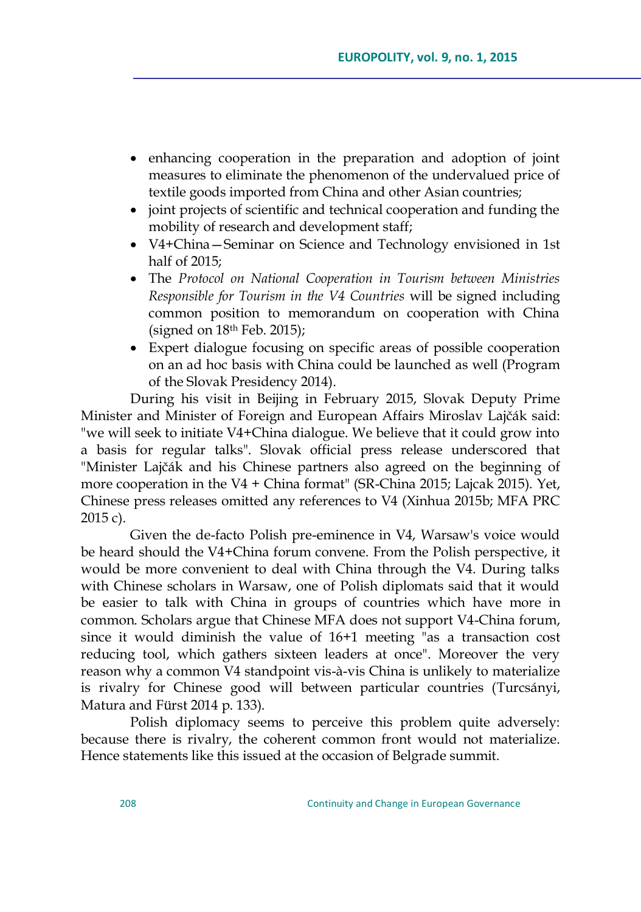- enhancing cooperation in the preparation and adoption of joint measures to eliminate the phenomenon of the undervalued price of textile goods imported from China and other Asian countries;
- joint projects of scientific and technical cooperation and funding the mobility of research and development staff;
- V4+China—Seminar on Science and Technology envisioned in 1st half of 2015;
- The *Protocol on National Cooperation in Tourism between Ministries Responsible for Tourism in the V4 Countries* will be signed including common position to memorandum on cooperation with China (signed on  $18<sup>th</sup>$  Feb. 2015);
- Expert dialogue focusing on specific areas of possible cooperation on an ad hoc basis with China could be launched as well (Program of the Slovak Presidency 2014).

During his visit in Beijing in February 2015, Slovak Deputy Prime Minister and Minister of Foreign and European Affairs Miroslav Lajčák said: "we will seek to initiate V4+China dialogue. We believe that it could grow into a basis for regular talks". Slovak official press release underscored that "Minister Lajčák and his Chinese partners also agreed on the beginning of more cooperation in the V4 + China format" (SR-China 2015; Lajcak 2015). Yet, Chinese press releases omitted any references to V4 (Xinhua 2015b; MFA PRC 2015 c).

Given the de-facto Polish pre-eminence in V4, Warsaw's voice would be heard should the V4+China forum convene. From the Polish perspective, it would be more convenient to deal with China through the V4. During talks with Chinese scholars in Warsaw, one of Polish diplomats said that it would be easier to talk with China in groups of countries which have more in common. Scholars argue that Chinese MFA does not support V4-China forum, since it would diminish the value of 16+1 meeting "as a transaction cost reducing tool, which gathers sixteen leaders at once". Moreover the very reason why a common V4 standpoint vis-à-vis China is unlikely to materialize is rivalry for Chinese good will between particular countries (Turcsányi, Matura and Fürst 2014 p. 133).

Polish diplomacy seems to perceive this problem quite adversely: because there is rivalry, the coherent common front would not materialize. Hence statements like this issued at the occasion of Belgrade summit.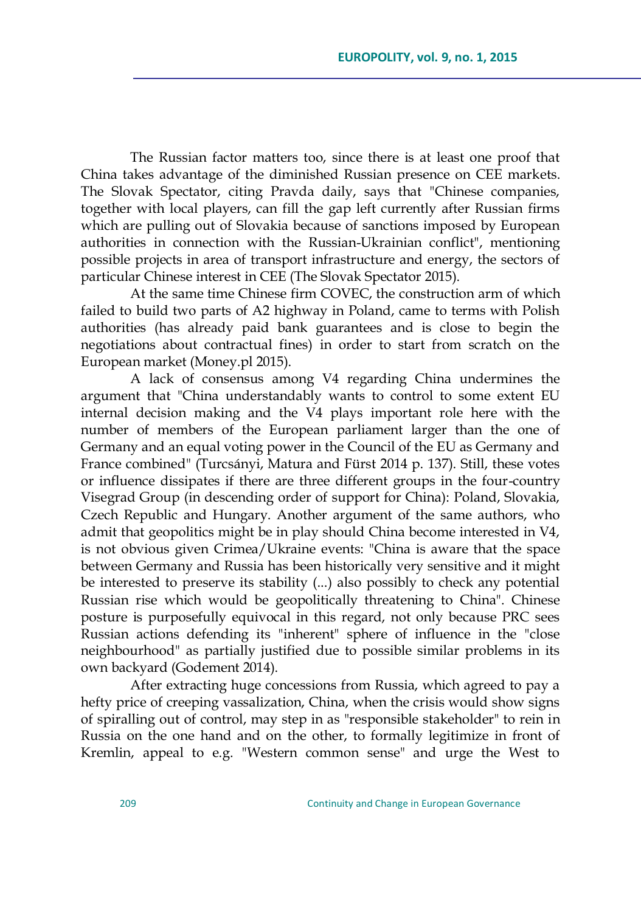The Russian factor matters too, since there is at least one proof that China takes advantage of the diminished Russian presence on CEE markets. The Slovak Spectator, citing Pravda daily, says that "Chinese companies, together with local players, can fill the gap left currently after Russian firms which are pulling out of Slovakia because of sanctions imposed by European authorities in connection with the Russian-Ukrainian conflict", mentioning possible projects in area of transport infrastructure and energy, the sectors of particular Chinese interest in CEE (The Slovak Spectator 2015).

At the same time Chinese firm COVEC, the construction arm of which failed to build two parts of A2 highway in Poland, came to terms with Polish authorities (has already paid bank guarantees and is close to begin the negotiations about contractual fines) in order to start from scratch on the European market (Money.pl 2015).

A lack of consensus among V4 regarding China undermines the argument that "China understandably wants to control to some extent EU internal decision making and the V4 plays important role here with the number of members of the European parliament larger than the one of Germany and an equal voting power in the Council of the EU as Germany and France combined" (Turcsányi, Matura and Fürst 2014 p. 137). Still, these votes or influence dissipates if there are three different groups in the four-country Visegrad Group (in descending order of support for China): Poland, Slovakia, Czech Republic and Hungary. Another argument of the same authors, who admit that geopolitics might be in play should China become interested in V4, is not obvious given Crimea/Ukraine events: "China is aware that the space between Germany and Russia has been historically very sensitive and it might be interested to preserve its stability (...) also possibly to check any potential Russian rise which would be geopolitically threatening to China". Chinese posture is purposefully equivocal in this regard, not only because PRC sees Russian actions defending its "inherent" sphere of influence in the "close neighbourhood" as partially justified due to possible similar problems in its own backyard (Godement 2014).

After extracting huge concessions from Russia, which agreed to pay a hefty price of creeping vassalization, China, when the crisis would show signs of spiralling out of control, may step in as "responsible stakeholder" to rein in Russia on the one hand and on the other, to formally legitimize in front of Kremlin, appeal to e.g. "Western common sense" and urge the West to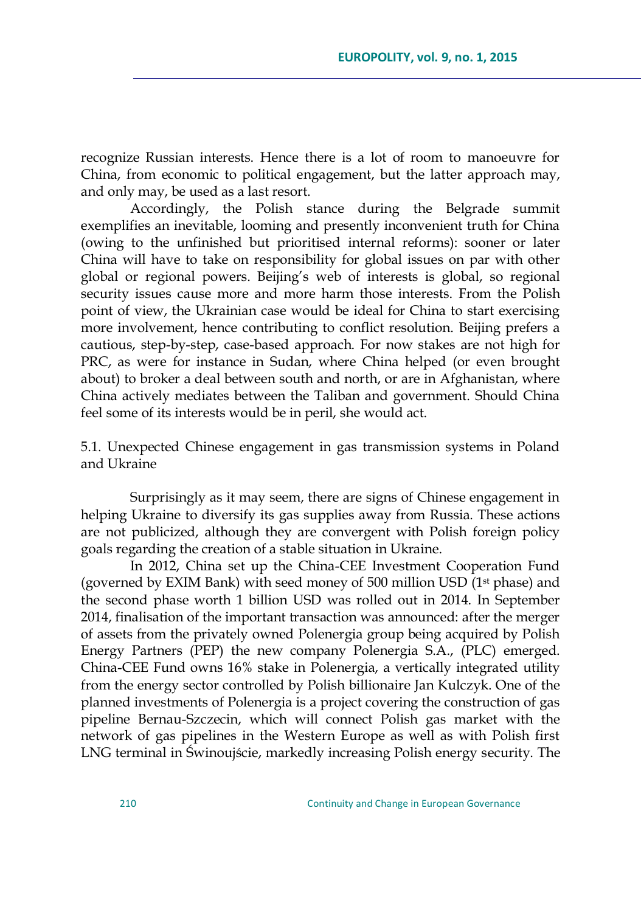recognize Russian interests. Hence there is a lot of room to manoeuvre for China, from economic to political engagement, but the latter approach may, and only may, be used as a last resort.

Accordingly, the Polish stance during the Belgrade summit exemplifies an inevitable, looming and presently inconvenient truth for China (owing to the unfinished but prioritised internal reforms): sooner or later China will have to take on responsibility for global issues on par with other global or regional powers. Beijing's web of interests is global, so regional security issues cause more and more harm those interests. From the Polish point of view, the Ukrainian case would be ideal for China to start exercising more involvement, hence contributing to conflict resolution. Beijing prefers a cautious, step-by-step, case-based approach. For now stakes are not high for PRC, as were for instance in Sudan, where China helped (or even brought about) to broker a deal between south and north, or are in Afghanistan, where China actively mediates between the Taliban and government. Should China feel some of its interests would be in peril, she would act.

5.1. Unexpected Chinese engagement in gas transmission systems in Poland and Ukraine

Surprisingly as it may seem, there are signs of Chinese engagement in helping Ukraine to diversify its gas supplies away from Russia. These actions are not publicized, although they are convergent with Polish foreign policy goals regarding the creation of a stable situation in Ukraine.

In 2012, China set up the China-CEE Investment Cooperation Fund (governed by EXIM Bank) with seed money of 500 million USD (1st phase) and the second phase worth 1 billion USD was rolled out in 2014. In September 2014, finalisation of the important transaction was announced: after the merger of assets from the privately owned Polenergia group being acquired by Polish Energy Partners (PEP) the new company Polenergia S.A., (PLC) emerged. China-CEE Fund owns 16% stake in Polenergia, a vertically integrated utility from the energy sector controlled by Polish billionaire Jan Kulczyk. One of the planned investments of Polenergia is a project covering the construction of gas pipeline Bernau-Szczecin, which will connect Polish gas market with the network of gas pipelines in the Western Europe as well as with Polish first LNG terminal in Świnoujście, markedly increasing Polish energy security. The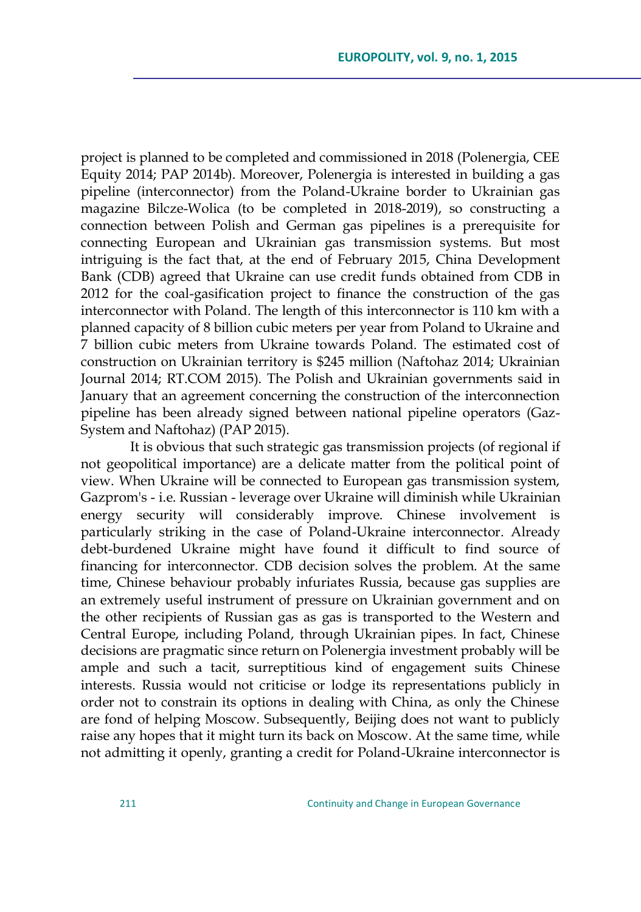project is planned to be completed and commissioned in 2018 (Polenergia, CEE Equity 2014; PAP 2014b). Moreover, Polenergia is interested in building a gas pipeline (interconnector) from the Poland-Ukraine border to Ukrainian gas magazine Bilcze-Wolica (to be completed in 2018-2019), so constructing a connection between Polish and German gas pipelines is a prerequisite for connecting European and Ukrainian gas transmission systems. But most intriguing is the fact that, at the end of February 2015, China Development Bank (CDB) agreed that Ukraine can use credit funds obtained from CDB in 2012 for the coal-gasification project to finance the construction of the gas interconnector with Poland. The length of this interconnector is 110 km with a planned capacity of 8 billion cubic meters per year from Poland to Ukraine and 7 billion cubic meters from Ukraine towards Poland. The estimated cost of construction on Ukrainian territory is \$245 million (Naftohaz 2014; Ukrainian Journal 2014; RT.COM 2015). The Polish and Ukrainian governments said in January that an agreement concerning the construction of the interconnection pipeline has been already signed between national pipeline operators (Gaz-System and Naftohaz) (PAP 2015).

It is obvious that such strategic gas transmission projects (of regional if not geopolitical importance) are a delicate matter from the political point of view. When Ukraine will be connected to European gas transmission system, Gazprom's - i.e. Russian - leverage over Ukraine will diminish while Ukrainian energy security will considerably improve. Chinese involvement is particularly striking in the case of Poland-Ukraine interconnector. Already debt-burdened Ukraine might have found it difficult to find source of financing for interconnector. CDB decision solves the problem. At the same time, Chinese behaviour probably infuriates Russia, because gas supplies are an extremely useful instrument of pressure on Ukrainian government and on the other recipients of Russian gas as gas is transported to the Western and Central Europe, including Poland, through Ukrainian pipes. In fact, Chinese decisions are pragmatic since return on Polenergia investment probably will be ample and such a tacit, surreptitious kind of engagement suits Chinese interests. Russia would not criticise or lodge its representations publicly in order not to constrain its options in dealing with China, as only the Chinese are fond of helping Moscow. Subsequently, Beijing does not want to publicly raise any hopes that it might turn its back on Moscow. At the same time, while not admitting it openly, granting a credit for Poland-Ukraine interconnector is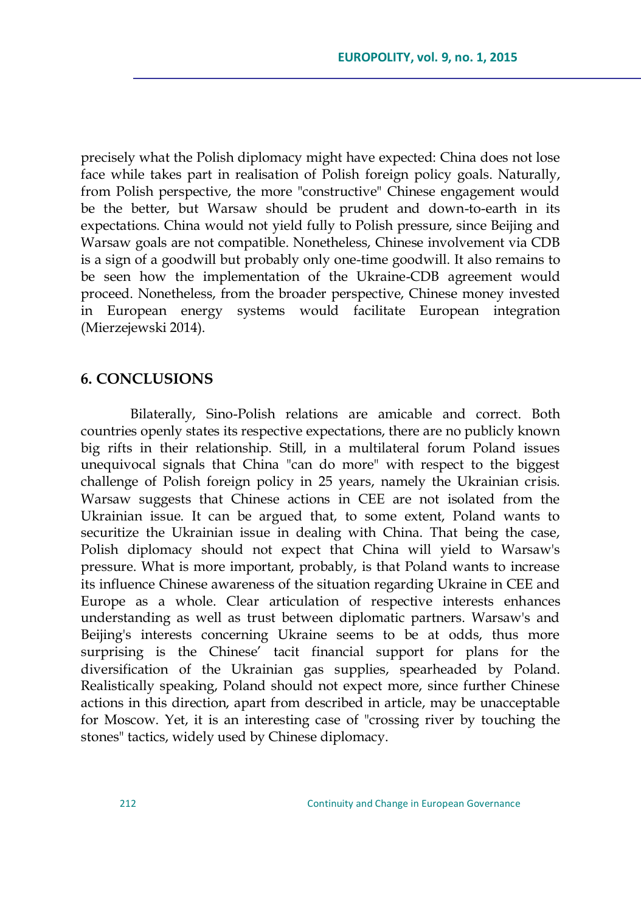precisely what the Polish diplomacy might have expected: China does not lose face while takes part in realisation of Polish foreign policy goals. Naturally, from Polish perspective, the more "constructive" Chinese engagement would be the better, but Warsaw should be prudent and down-to-earth in its expectations. China would not yield fully to Polish pressure, since Beijing and Warsaw goals are not compatible. Nonetheless, Chinese involvement via CDB is a sign of a goodwill but probably only one-time goodwill. It also remains to be seen how the implementation of the Ukraine-CDB agreement would proceed. Nonetheless, from the broader perspective, Chinese money invested in European energy systems would facilitate European integration (Mierzejewski 2014).

### **6. CONCLUSIONS**

Bilaterally, Sino-Polish relations are amicable and correct. Both countries openly states its respective expectations, there are no publicly known big rifts in their relationship. Still, in a multilateral forum Poland issues unequivocal signals that China "can do more" with respect to the biggest challenge of Polish foreign policy in 25 years, namely the Ukrainian crisis. Warsaw suggests that Chinese actions in CEE are not isolated from the Ukrainian issue. It can be argued that, to some extent, Poland wants to securitize the Ukrainian issue in dealing with China. That being the case, Polish diplomacy should not expect that China will yield to Warsaw's pressure. What is more important, probably, is that Poland wants to increase its influence Chinese awareness of the situation regarding Ukraine in CEE and Europe as a whole. Clear articulation of respective interests enhances understanding as well as trust between diplomatic partners. Warsaw's and Beijing's interests concerning Ukraine seems to be at odds, thus more surprising is the Chinese' tacit financial support for plans for the diversification of the Ukrainian gas supplies, spearheaded by Poland. Realistically speaking, Poland should not expect more, since further Chinese actions in this direction, apart from described in article, may be unacceptable for Moscow. Yet, it is an interesting case of "crossing river by touching the stones" tactics, widely used by Chinese diplomacy.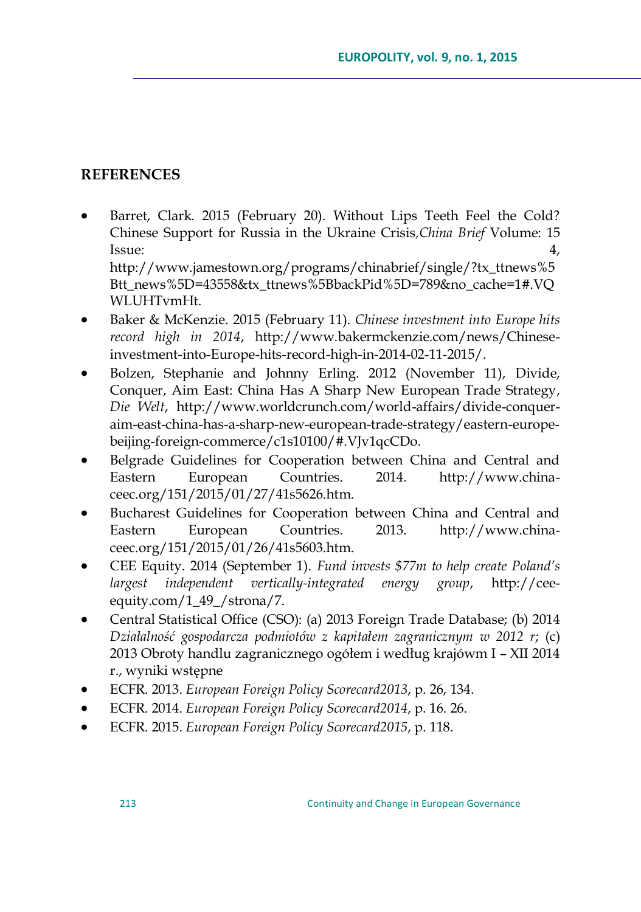## **REFERENCES**

 Barret, Clark. 2015 (February 20). Without Lips Teeth Feel the Cold? Chinese Support for Russia in the Ukraine Crisis*,China Brief* Volume: 15 Issue: 4, http://www.jamestown.org/programs/chinabrief/single/?tx\_ttnews%5

Btt news%5D=43558&tx ttnews%5BbackPid%5D=789&no\_cache=1#.VQ WLUHTvmHt.

- Baker & McKenzie. 2015 (February 11). *Chinese investment into Europe hits record high in 2014*, http://www.bakermckenzie.com/news/Chineseinvestment-into-Europe-hits-record-high-in-2014-02-11-2015/.
- Bolzen, Stephanie and Johnny Erling. 2012 (November 11), Divide, Conquer, Aim East: China Has A Sharp New European Trade Strategy, *Die Welt*, http://www.worldcrunch.com/world-affairs/divide-conqueraim-east-china-has-a-sharp-new-european-trade-strategy/eastern-europebeijing-foreign-commerce/c1s10100/#.VJv1qcCDo.
- Belgrade Guidelines for Cooperation between China and Central and Eastern European Countries. 2014. http://www.chinaceec.org/151/2015/01/27/41s5626.htm.
- Bucharest Guidelines for Cooperation between China and Central and Eastern European Countries. 2013. [http://www.china](http://www.china-ceec.org/151/2015/01/26/41s5603.htm)[ceec.org/151/2015/01/26/41s5603.htm.](http://www.china-ceec.org/151/2015/01/26/41s5603.htm)
- CEE Equity. 2014 (September 1). *Fund invests \$77m to help create Poland"s largest independent vertically-integrated energy group*, http://ceeequity.com/1\_49\_/strona/7.
- Central Statistical Office (CSO): (a) 2013 Foreign Trade Database; (b) 2014 *Działalność gospodarcza podmiotów z kapitałem zagranicznym w 2012 r*; (c) 2013 Obroty handlu zagranicznego ogółem i według krajówm I – XII 2014 r., wyniki wstępne
- ECFR. 2013. *European Foreign Policy Scorecard2013*, p. 26, 134.
- ECFR. 2014. *European Foreign Policy Scorecard2014*, p. 16. 26.
- ECFR. 2015. *European Foreign Policy Scorecard2015*, p. 118.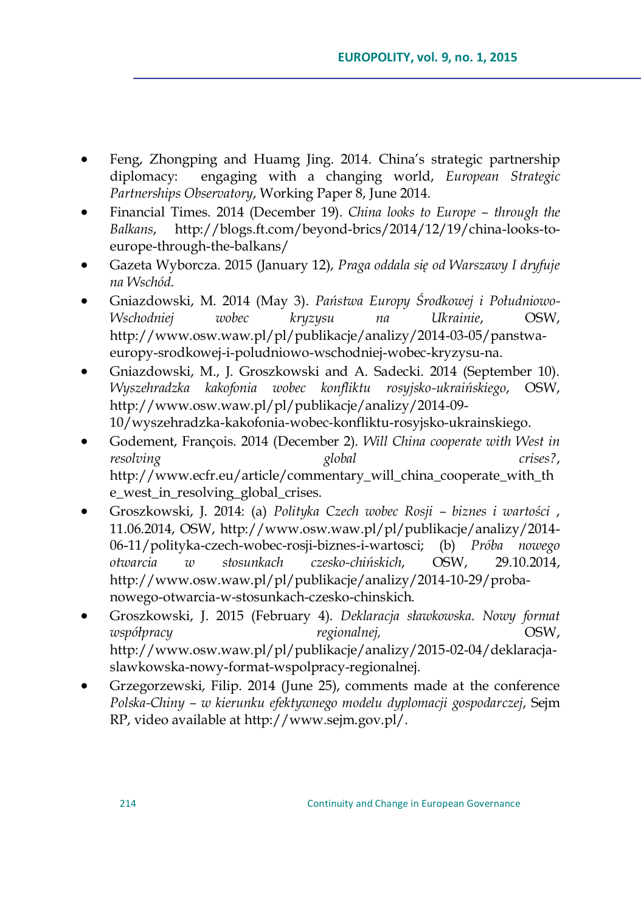- Feng, Zhongping and Huamg Jing. 2014. China's strategic partnership diplomacy: engaging with a changing world, *European Strategic Partnerships Observatory*, Working Paper 8, June 2014.
- Financial Times. 2014 (December 19). *China looks to Europe – through the Balkans*, [http://blogs.ft.com/beyond-brics/2014/12/19/china-looks-to](http://blogs.ft.com/beyond-brics/2014/12/19/china-looks-to-europe-through-the-balkans/)[europe-through-the-balkans/](http://blogs.ft.com/beyond-brics/2014/12/19/china-looks-to-europe-through-the-balkans/)
- Gazeta Wyborcza. 2015 (January 12), *Praga oddala się od Warszawy I dryfuje na Wschód*.
- Gniazdowski, M. 2014 (May 3). *Państwa Europy Środkowej i Południowo-Wschodniej wobec kryzysu na Ukrainie*, OSW, http://www.osw.waw.pl/pl/publikacje/analizy/2014-03-05/panstwaeuropy-srodkowej-i-poludniowo-wschodniej-wobec-kryzysu-na.
- Gniazdowski, M., J. Groszkowski and A. Sadecki. 2014 (September 10). *Wyszehradzka kakofonia wobec konfliktu rosyjsko-ukraińskiego*, OSW, [http://www.osw.waw.pl/pl/publikacje/analizy/2014-09-](http://www.osw.waw.pl/pl/publikacje/analizy/2014-09-10/wyszehradzka-kakofonia-wobec-konfliktu-rosyjsko-ukrainskiego) [10/wyszehradzka-kakofonia-wobec-konfliktu-rosyjsko-ukrainskiego.](http://www.osw.waw.pl/pl/publikacje/analizy/2014-09-10/wyszehradzka-kakofonia-wobec-konfliktu-rosyjsko-ukrainskiego)
- Godement, François. 2014 (December 2). *Will China cooperate with West in resolving global crises?*, http://www.ecfr.eu/article/commentary\_will\_china\_cooperate\_with\_th e\_west\_in\_resolving\_global\_crises.
- Groszkowski, J. 2014: (a) *Polityka Czech wobec Rosji – biznes i wartości* , 11.06.2014, OSW, [http://www.osw.waw.pl/pl/publikacje/analizy/2014-](http://www.osw.waw.pl/pl/publikacje/analizy/2014-06-11/polityka-czech-wobec-rosji-biznes-i-wartosci) [06-11/polityka-czech-wobec-rosji-biznes-i-wartosci;](http://www.osw.waw.pl/pl/publikacje/analizy/2014-06-11/polityka-czech-wobec-rosji-biznes-i-wartosci) (b) *Próba nowego otwarcia w stosunkach czesko-chińskich*, OSW, 29.10.2014, http://www.osw.waw.pl/pl/publikacje/analizy/2014-10-29/probanowego-otwarcia-w-stosunkach-czesko-chinskich.
- Groszkowski, J. 2015 (February 4). *Deklaracja sławkowska. Nowy format współpracy regionalnej,* OSW, http://www.osw.waw.pl/pl/publikacje/analizy/2015-02-04/deklaracjaslawkowska-nowy-format-wspolpracy-regionalnej.
- Grzegorzewski, Filip. 2014 (June 25), comments made at the conference *Polska-Chiny – w kierunku efektywnego modelu dyplomacji gospodarczej*, Sejm RP, video available at http://www.sejm.gov.pl/.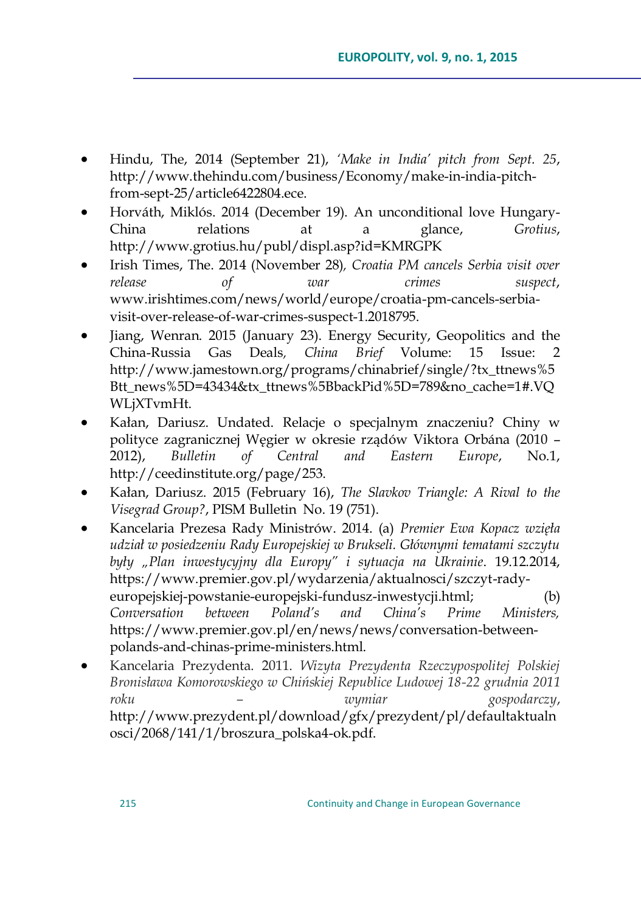- Hindu, The, 2014 (September 21), *"Make in India" pitch from Sept. 25*, [http://www.thehindu.com/business/Economy/make-in-india-pitch](http://www.thehindu.com/business/Economy/make-in-india-pitch-from-sept-25/article6422804.ece)[from-sept-25/article6422804.ece.](http://www.thehindu.com/business/Economy/make-in-india-pitch-from-sept-25/article6422804.ece)
- Horváth, Miklós. 2014 (December 19). An unconditional love Hungary-China relations at a glance, *Grotius*, http://www.grotius.hu/publ/displ.asp?id=KMRGPK
- Irish Times, The. 2014 (November 28)*, Croatia PM cancels Serbia visit over release of war crimes suspect*, www.irishtimes.com/news/world/europe/croatia-pm-cancels-serbiavisit-over-release-of-war-crimes-suspect-1.2018795.
- Jiang, Wenran. 2015 (January 23). Energy Security, Geopolitics and the China-Russia Gas Deals*, China Brief* Volume: 15 Issue: 2 http://www.jamestown.org/programs/chinabrief/single/?tx\_ttnews%5 Btt\_news%5D=43434&tx\_ttnews%5BbackPid%5D=789&no\_cache=1#.VQ WLjXTvmHt.
- Kałan, Dariusz. Undated. Relacje o specjalnym znaczeniu? Chiny w polityce zagranicznej Węgier w okresie rządów Viktora Orbána (2010 – 2012), *Bulletin of Central and Eastern Europe*, No.1, http://ceedinstitute.org/page/253.
- Kałan, Dariusz. 2015 (February 16), *The Slavkov Triangle: A Rival to the Visegrad Group?*, PISM Bulletin No. 19 (751).
- Kancelaria Prezesa Rady Ministrów. 2014. (a) *Premier Ewa Kopacz wzięła udział w posiedzeniu Rady Europejskiej w Brukseli. Głównymi tematami szczytu były "Plan inwestycyjny dla Europy" i sytuacja na Ukrainie*. 19.12.2014, [https://www.premier.gov.pl/wydarzenia/aktualnosci/szczyt-rady](https://www.premier.gov.pl/wydarzenia/aktualnosci/szczyt-rady-europejskiej-powstanie-europejski-fundusz-inwestycji.html)[europejskiej-powstanie-europejski-fundusz-inwestycji.html;](https://www.premier.gov.pl/wydarzenia/aktualnosci/szczyt-rady-europejskiej-powstanie-europejski-fundusz-inwestycji.html) (b) *Conversation between Poland"s and China"s Prime Ministers,*  https://www.premier.gov.pl/en/news/news/conversation-betweenpolands-and-chinas-prime-ministers.html.
- Kancelaria Prezydenta. 2011. *Wizyta Prezydenta Rzeczypospolitej Polskiej Bronisława Komorowskiego w Chińskiej Republice Ludowej 18-22 grudnia 2011 roku – wymiar gospodarczy*, http://www.prezydent.pl/download/gfx/prezydent/pl/defaultaktualn osci/2068/141/1/broszura\_polska4-ok.pdf.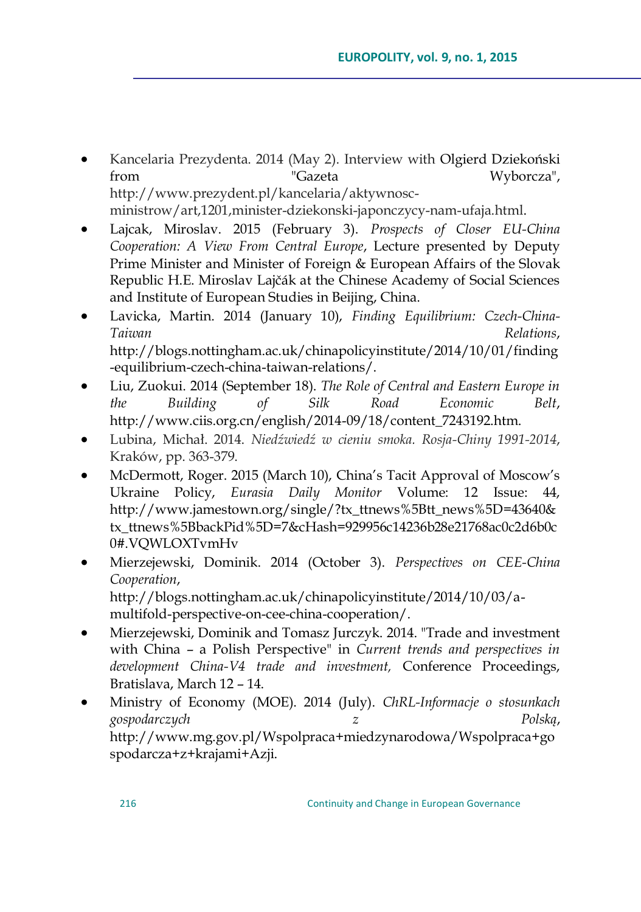- Kancelaria Prezydenta. 2014 (May 2). Interview with Olgierd Dziekoński from "Gazeta Wyborcza", [http://www.prezydent.pl/kancelaria/aktywnosc](http://www.prezydent.pl/kancelaria/aktywnosc-ministrow/art,1201,minister-dziekonski-japonczycy-nam-ufaja.html)[ministrow/art,1201,minister-dziekonski-japonczycy-nam-ufaja.html.](http://www.prezydent.pl/kancelaria/aktywnosc-ministrow/art,1201,minister-dziekonski-japonczycy-nam-ufaja.html)
- Lajcak, Miroslav. 2015 (February 3). *Prospects of Closer EU-China Cooperation: A View From Central Europe*, Lecture presented by Deputy Prime Minister and Minister of Foreign & European Affairs of the Slovak Republic H.E. Miroslav Lajčák at the Chinese Academy of Social Sciences and Institute of European Studies in Beijing, China.
- Lavicka, Martin. 2014 (January 10), *Finding Equilibrium: Czech-China-Taiwan Relations*, http://blogs.nottingham.ac.uk/chinapolicyinstitute/2014/10/01/finding -equilibrium-czech-china-taiwan-relations/.
- Liu, Zuokui. 2014 (September 18). *The Role of Central and Eastern Europe in the Building of Silk Road Economic Belt*, http://www.ciis.org.cn/english/2014-09/18/content\_7243192.htm.
- Lubina, Michał. 2014. *Niedźwiedź w cieniu smoka. Rosja-Chiny 1991-2014*, Kraków, pp. 363-379.
- McDermott, Roger. 2015 (March 10), China's Tacit Approval of Moscow's Ukraine Policy, *Eurasia Daily Monitor* Volume: 12 Issue: 44, [http://www.jamestown.org/single/?tx\\_ttnews%5Btt\\_news%5D=43640&](http://www.jamestown.org/single/?tx_ttnews%5Btt_news%5D=43640&tx_ttnews%5BbackPid%5D=7&cHash=929956c14236b28e21768ac0c2d6b0c0#.VQWLOXTvmHv) [tx\\_ttnews%5BbackPid%5D=7&cHash=929956c14236b28e21768ac0c2d6b0c](http://www.jamestown.org/single/?tx_ttnews%5Btt_news%5D=43640&tx_ttnews%5BbackPid%5D=7&cHash=929956c14236b28e21768ac0c2d6b0c0#.VQWLOXTvmHv) [0#.VQWLOXTvmHv](http://www.jamestown.org/single/?tx_ttnews%5Btt_news%5D=43640&tx_ttnews%5BbackPid%5D=7&cHash=929956c14236b28e21768ac0c2d6b0c0#.VQWLOXTvmHv)
- Mierzejewski, Dominik. 2014 (October 3). *Perspectives on CEE-China Cooperation*, http://blogs.nottingham.ac.uk/chinapolicyinstitute/2014/10/03/amultifold-perspective-on-cee-china-cooperation/.
- Mierzejewski, Dominik and Tomasz Jurczyk. 2014. "Trade and investment with China – a Polish Perspective" in *Current trends and perspectives in development China-V4 trade and investment,* Conference Proceedings, Bratislava, March 12 – 14.
- Ministry of Economy (MOE). 2014 (July). *ChRL-Informacje o stosunkach gospodarczych z Polską*, http://www.mg.gov.pl/Wspolpraca+miedzynarodowa/Wspolpraca+go spodarcza+z+krajami+Azji.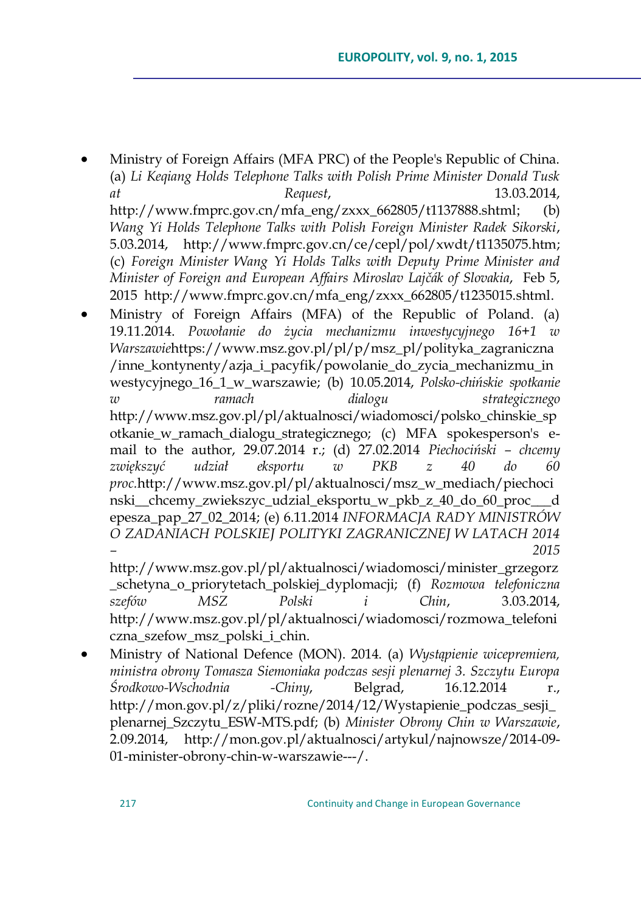Ministry of Foreign Affairs (MFA PRC) of the People's Republic of China. (a) *Li Keqiang Holds Telephone Talks with Polish Prime Minister Donald Tusk at Request*, 13.03.2014, [http://www.fmprc.gov.cn/mfa\\_eng/zxxx\\_662805/t1137888.shtml](http://www.fmprc.gov.cn/mfa_eng/zxxx_662805/t1137888.shtml); (b) *Wang Yi Holds Telephone Talks with Polish Foreign Minister Radek Sikorski*, 5.03.2014, [http://www.fmprc.gov.cn/ce/cepl/pol/xwdt/t1135075.htm;](http://www.fmprc.gov.cn/ce/cepl/pol/xwdt/t1135075.htm) (c) *Foreign Minister Wang Yi Holds Talks with Deputy Prime Minister and Minister of Foreign and European Affairs Miroslav Lajčák of Slovakia*, Feb 5, 2015 [http://www.fmprc.gov.cn/mfa\\_eng/zxxx\\_662805/t1235015.shtml.](http://www.fmprc.gov.cn/mfa_eng/zxxx_662805/t1235015.shtml)

 Ministry of Foreign Affairs (MFA) of the Republic of Poland. (a) 19.11.2014. *Powołanie do życia mechanizmu inwestycyjnego 16+1 w Warszawie*[https://www.msz.gov.pl/pl/p/msz\\_pl/polityka\\_zagraniczna](https://www.msz.gov.pl/pl/p/msz_pl/polityka_zagraniczna/inne_kontynenty/azja_i_pacyfik/powolanie_do_zycia_mechanizmu_inwestycyjnego_16_1_w_warszawie) [/inne\\_kontynenty/azja\\_i\\_pacyfik/powolanie\\_do\\_zycia\\_mechanizmu\\_in](https://www.msz.gov.pl/pl/p/msz_pl/polityka_zagraniczna/inne_kontynenty/azja_i_pacyfik/powolanie_do_zycia_mechanizmu_inwestycyjnego_16_1_w_warszawie) [westycyjnego\\_16\\_1\\_w\\_warszawie;](https://www.msz.gov.pl/pl/p/msz_pl/polityka_zagraniczna/inne_kontynenty/azja_i_pacyfik/powolanie_do_zycia_mechanizmu_inwestycyjnego_16_1_w_warszawie) (b) 10.05.2014, *Polsko-chińskie spotkanie w ramach dialogu strategicznego*  [http://www.msz.gov.pl/pl/aktualnosci/wiadomosci/polsko\\_chinskie\\_sp](http://www.msz.gov.pl/pl/aktualnosci/wiadomosci/polsko_chinskie_spotkanie_w_ramach_dialogu_strategicznego) otkanie w ramach dialogu strategicznego; (c) MFA spokesperson's email to the author, 29.07.2014 r.; (d) 27.02.2014 *Piechociński – chcemy zwiększyć udział eksportu w PKB z 40 do 60 proc.*[http://www.msz.gov.pl/pl/aktualnosci/msz\\_w\\_mediach/piechoci](http://www.msz.gov.pl/pl/aktualnosci/msz_w_mediach/piechocinski__chcemy_zwiekszyc_udzial_eksportu_w_pkb_z_40_do_60_proc___depesza_pap_27_02_2014) [nski\\_\\_chcemy\\_zwiekszyc\\_udzial\\_eksportu\\_w\\_pkb\\_z\\_40\\_do\\_60\\_proc\\_\\_\\_d](http://www.msz.gov.pl/pl/aktualnosci/msz_w_mediach/piechocinski__chcemy_zwiekszyc_udzial_eksportu_w_pkb_z_40_do_60_proc___depesza_pap_27_02_2014) [epesza\\_pap\\_27\\_02\\_2014;](http://www.msz.gov.pl/pl/aktualnosci/msz_w_mediach/piechocinski__chcemy_zwiekszyc_udzial_eksportu_w_pkb_z_40_do_60_proc___depesza_pap_27_02_2014) (e) 6.11.2014 *INFORMACJA RADY MINISTRÓW O ZADANIACH POLSKIEJ POLITYKI ZAGRANICZNEJ W LATACH 2014 – 2015* 

[http://www.msz.gov.pl/pl/aktualnosci/wiadomosci/minister\\_grzegorz](http://www.msz.gov.pl/pl/aktualnosci/wiadomosci/minister_grzegorz_schetyna_o_priorytetach_polskiej_dyplomacji) [\\_schetyna\\_o\\_priorytetach\\_polskiej\\_dyplomacji;](http://www.msz.gov.pl/pl/aktualnosci/wiadomosci/minister_grzegorz_schetyna_o_priorytetach_polskiej_dyplomacji) (f) *Rozmowa telefoniczna szefów MSZ Polski i Chin*, 3.03.2014, [http://www.msz.gov.pl/pl/aktualnosci/wiadomosci/rozmowa\\_telefoni](http://www.msz.gov.pl/pl/aktualnosci/wiadomosci/rozmowa_telefoniczna_szefow_msz_polski_i_chin) [czna\\_szefow\\_msz\\_polski\\_i\\_chin.](http://www.msz.gov.pl/pl/aktualnosci/wiadomosci/rozmowa_telefoniczna_szefow_msz_polski_i_chin)

 Ministry of National Defence (MON). 2014. (a) *Wystąpienie wicepremiera, ministra obrony Tomasza Siemoniaka podczas sesji plenarnej 3. Szczytu Europa Środkowo-Wschodnia -Chiny*, Belgrad, 16.12.2014 r., [http://mon.gov.pl/z/pliki/rozne/2014/12/Wystapienie\\_podczas\\_sesji\\_](http://mon.gov.pl/z/pliki/rozne/2014/12/Wystapienie_podczas_sesji_plenarnej_Szczytu_ESW-MTS.pdf) [plenarnej\\_Szczytu\\_ESW-MTS.pdf;](http://mon.gov.pl/z/pliki/rozne/2014/12/Wystapienie_podczas_sesji_plenarnej_Szczytu_ESW-MTS.pdf) (b) *Minister Obrony Chin w Warszawie*, 2.09.2014, http://mon.gov.pl/aktualnosci/artykul/najnowsze/2014-09- 01-minister-obrony-chin-w-warszawie---/.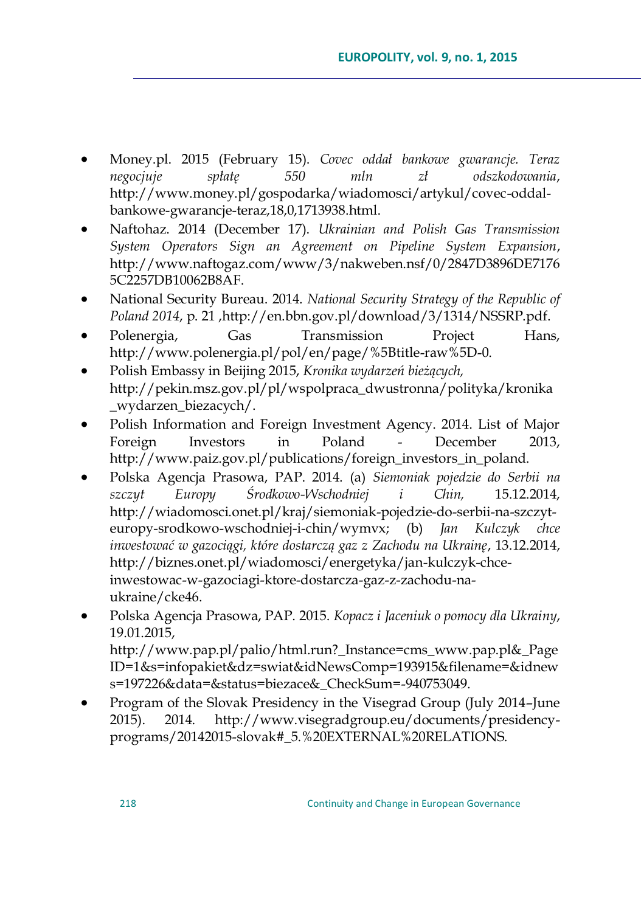- Money.pl. 2015 (February 15). *Covec oddał bankowe gwarancje. Teraz negocjuje spłatę 550 mln zł odszkodowania*, [http://www.money.pl/gospodarka/wiadomosci/artykul/covec-oddal](http://www.money.pl/gospodarka/wiadomosci/artykul/covec-oddal-bankowe-gwarancje-teraz,18,0,1713938.html)[bankowe-gwarancje-teraz,18,0,1713938.html.](http://www.money.pl/gospodarka/wiadomosci/artykul/covec-oddal-bankowe-gwarancje-teraz,18,0,1713938.html)
- Naftohaz. 2014 (December 17). *Ukrainian and Polish Gas Transmission System Operators Sign an Agreement on Pipeline System Expansion*, http://www.naftogaz.com/www/3/nakweben.nsf/0/2847D3896DE7176 5C2257DB10062B8AF.
- National Security Bureau. 2014. *National Security Strategy of the Republic of Poland 2014*, p. 21 [,http://en.bbn.gov.pl/download/3/1314/NSSRP.pdf.](http://en.bbn.gov.pl/download/3/1314/NSSRP.pdf)
- Polenergia, Gas Transmission Project Hans, [http://www.polenergia.pl/pol/en/page/%5Btitle-raw%5D-0.](http://www.polenergia.pl/pol/en/page/%5Btitle-raw%5D-0)
- Polish Embassy in Beijing 2015, *Kronika wydarzeń bieżących,* http://pekin.msz.gov.pl/pl/wspolpraca\_dwustronna/polityka/kronika \_wydarzen\_biezacych/.
- Polish Information and Foreign Investment Agency. 2014. List of Major Foreign Investors in Poland - December 2013, [http://www.paiz.gov.pl/publications/foreign\\_investors\\_in\\_poland.](http://www.paiz.gov.pl/publications/foreign_investors_in_poland)
- Polska Agencja Prasowa, PAP. 2014. (a) *Siemoniak pojedzie do Serbii na szczyt Europy Środkowo-Wschodniej i Chin,* 15.12.2014, [http://wiadomosci.onet.pl/kraj/siemoniak-pojedzie-do-serbii-na-szczyt](http://wiadomosci.onet.pl/kraj/siemoniak-pojedzie-do-serbii-na-szczyt-europy-srodkowo-wschodniej-i-chin/wymvx)[europy-srodkowo-wschodniej-i-chin/wymvx;](http://wiadomosci.onet.pl/kraj/siemoniak-pojedzie-do-serbii-na-szczyt-europy-srodkowo-wschodniej-i-chin/wymvx) (b) *Jan Kulczyk chce inwestować w gazociągi, które dostarczą gaz z Zachodu na Ukrainę*, 13.12.2014, [http://biznes.onet.pl/wiadomosci/energetyka/jan-kulczyk-chce](http://biznes.onet.pl/wiadomosci/energetyka/jan-kulczyk-chce-inwestowac-w-gazociagi-ktore-dostarcza-gaz-z-zachodu-na-ukraine/cke46)[inwestowac-w-gazociagi-ktore-dostarcza-gaz-z-zachodu-na](http://biznes.onet.pl/wiadomosci/energetyka/jan-kulczyk-chce-inwestowac-w-gazociagi-ktore-dostarcza-gaz-z-zachodu-na-ukraine/cke46)[ukraine/cke46.](http://biznes.onet.pl/wiadomosci/energetyka/jan-kulczyk-chce-inwestowac-w-gazociagi-ktore-dostarcza-gaz-z-zachodu-na-ukraine/cke46)
- Polska Agencja Prasowa, PAP. 2015. *Kopacz i Jaceniuk o pomocy dla Ukrainy*, 19.01.2015, http://www.pap.pl/palio/html.run?\_Instance=cms\_www.pap.pl&\_Page ID=1&s=infopakiet&dz=swiat&idNewsComp=193915&filename=&idnew s=197226&data=&status=biezace&\_CheckSum=-940753049.
- Program of the Slovak Presidency in the Visegrad Group (July 2014–June 2015). 2014. http://www.visegradgroup.eu/documents/presidencyprograms/20142015-slovak#\_5.%20EXTERNAL%20RELATIONS.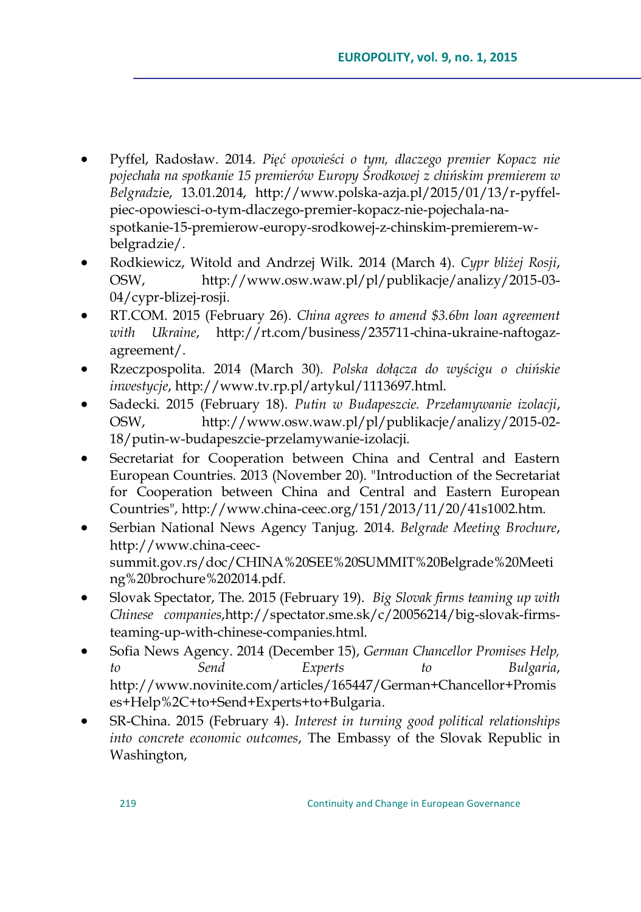- Pyffel, Radosław. 2014. *Pięć opowieści o tym, dlaczego premier Kopacz nie pojechała na spotkanie 15 premierów Europy Środkowej z chińskim premierem w Belgradzi*e, 13.01.2014, http://www.polska-azja.pl/2015/01/13/r-pyffelpiec-opowiesci-o-tym-dlaczego-premier-kopacz-nie-pojechala-naspotkanie-15-premierow-europy-srodkowej-z-chinskim-premierem-wbelgradzie/.
- Rodkiewicz, Witold and Andrzej Wilk. 2014 (March 4). *Cypr bliżej Rosji*, OSW, [http://www.osw.waw.pl/pl/publikacje/analizy/2015-03-](http://www.osw.waw.pl/pl/publikacje/analizy/2015-03-04/cypr-blizej-rosji) [04/cypr-blizej-rosji.](http://www.osw.waw.pl/pl/publikacje/analizy/2015-03-04/cypr-blizej-rosji)
- RT.COM. 2015 (February 26). *China agrees to amend \$3.6bn loan agreement with Ukraine*, http://rt.com/business/235711-china-ukraine-naftogazagreement/.
- Rzeczpospolita. 2014 (March 30). *Polska dołącza do wyścigu o chińskie inwestycje*, http://www.tv.rp.pl/artykul/1113697.html.
- Sadecki. 2015 (February 18). *Putin w Budapeszcie. Przełamywanie izolacji*, OSW, http://www.osw.waw.pl/pl/publikacje/analizy/2015-02- 18/putin-w-budapeszcie-przelamywanie-izolacji.
- Secretariat for Cooperation between China and Central and Eastern European Countries. 2013 (November 20). "Introduction of the Secretariat for Cooperation between China and Central and Eastern European Countries", http://www.china-ceec.org/151/2013/11/20/41s1002.htm.
- Serbian National News Agency Tanjug. 2014. *Belgrade Meeting Brochure*, http://www.china-ceecsummit.gov.rs/doc/CHINA%20SEE%20SUMMIT%20Belgrade%20Meeti ng%20brochure%202014.pdf.
- Slovak Spectator, The. 2015 (February 19). *Big Slovak firms teaming up with Chinese companies*,http://spectator.sme.sk/c/20056214/big-slovak-firmsteaming-up-with-chinese-companies.html.
- Sofia News Agency. 2014 (December 15), *German Chancellor Promises Help, to Send Experts to Bulgaria*, [http://www.novinite.com/articles/165447/German+Chancellor+Promis](http://www.novinite.com/articles/165447/German+Chancellor+Promises+Help%2C+to+Send+Experts+to+Bulgaria) [es+Help%2C+to+Send+Experts+to+Bulgaria.](http://www.novinite.com/articles/165447/German+Chancellor+Promises+Help%2C+to+Send+Experts+to+Bulgaria)
- SR-China. 2015 (February 4). *Interest in turning good political relationships into concrete economic outcomes*, The Embassy of the Slovak Republic in Washington,